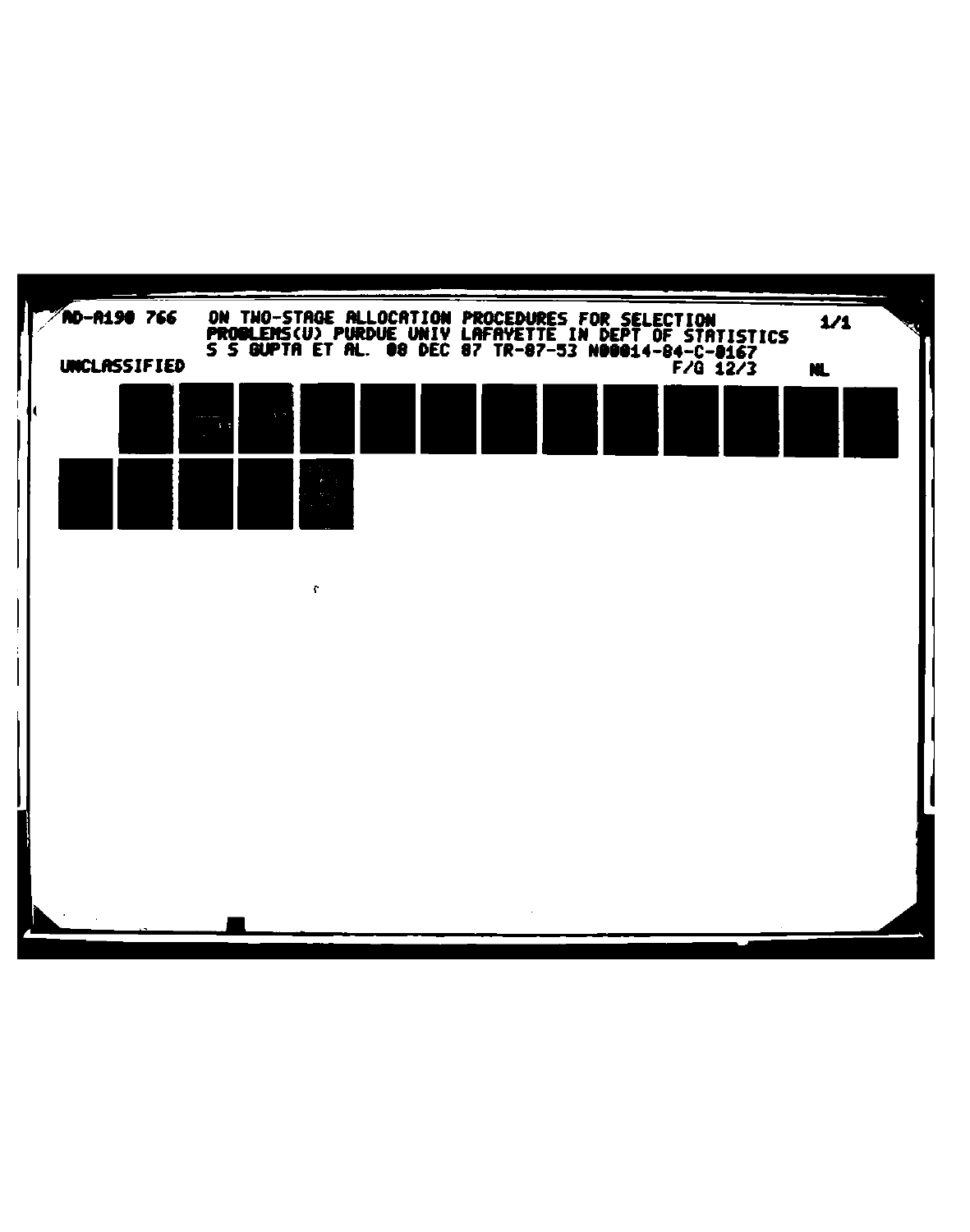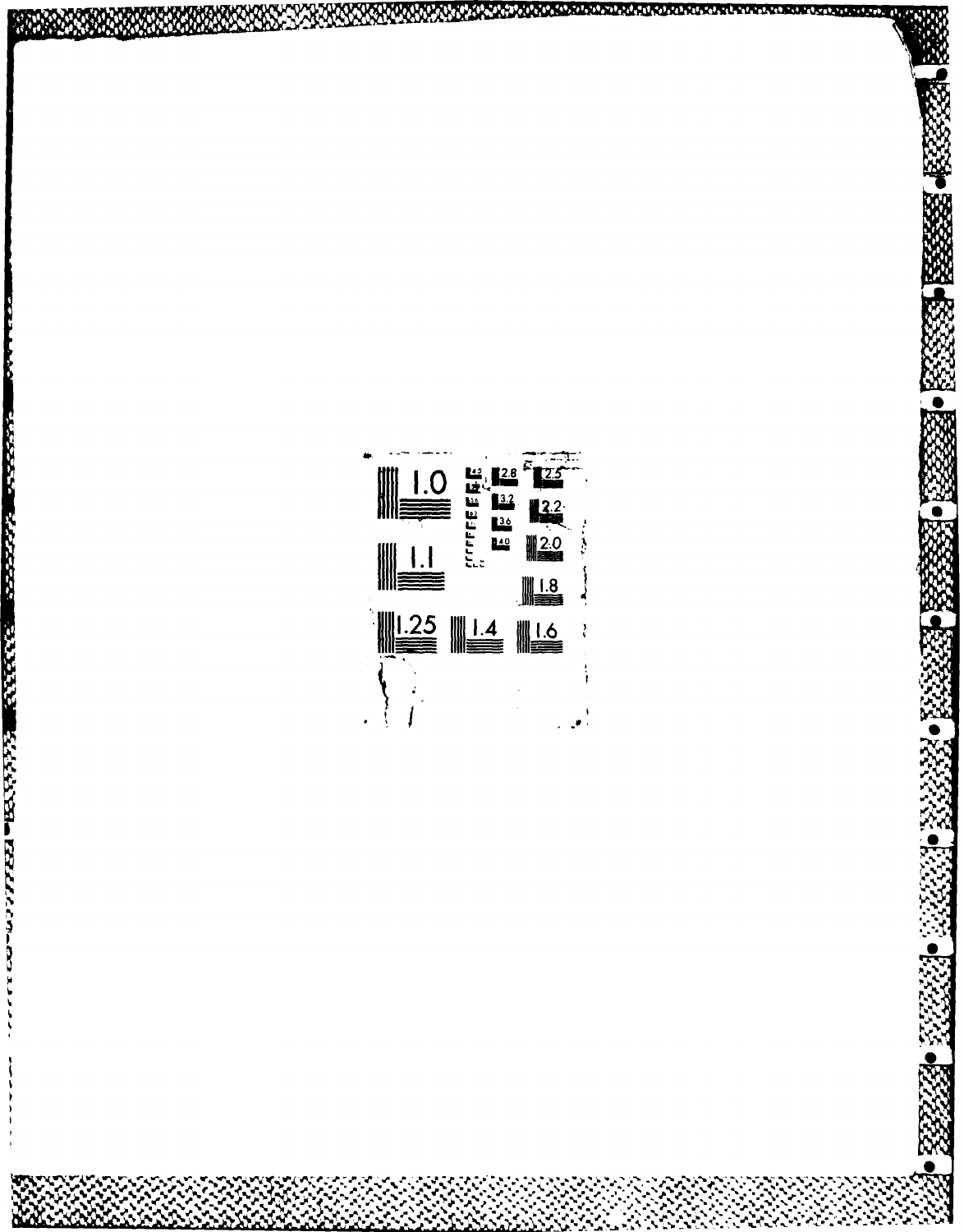

 $\mathbf{z}$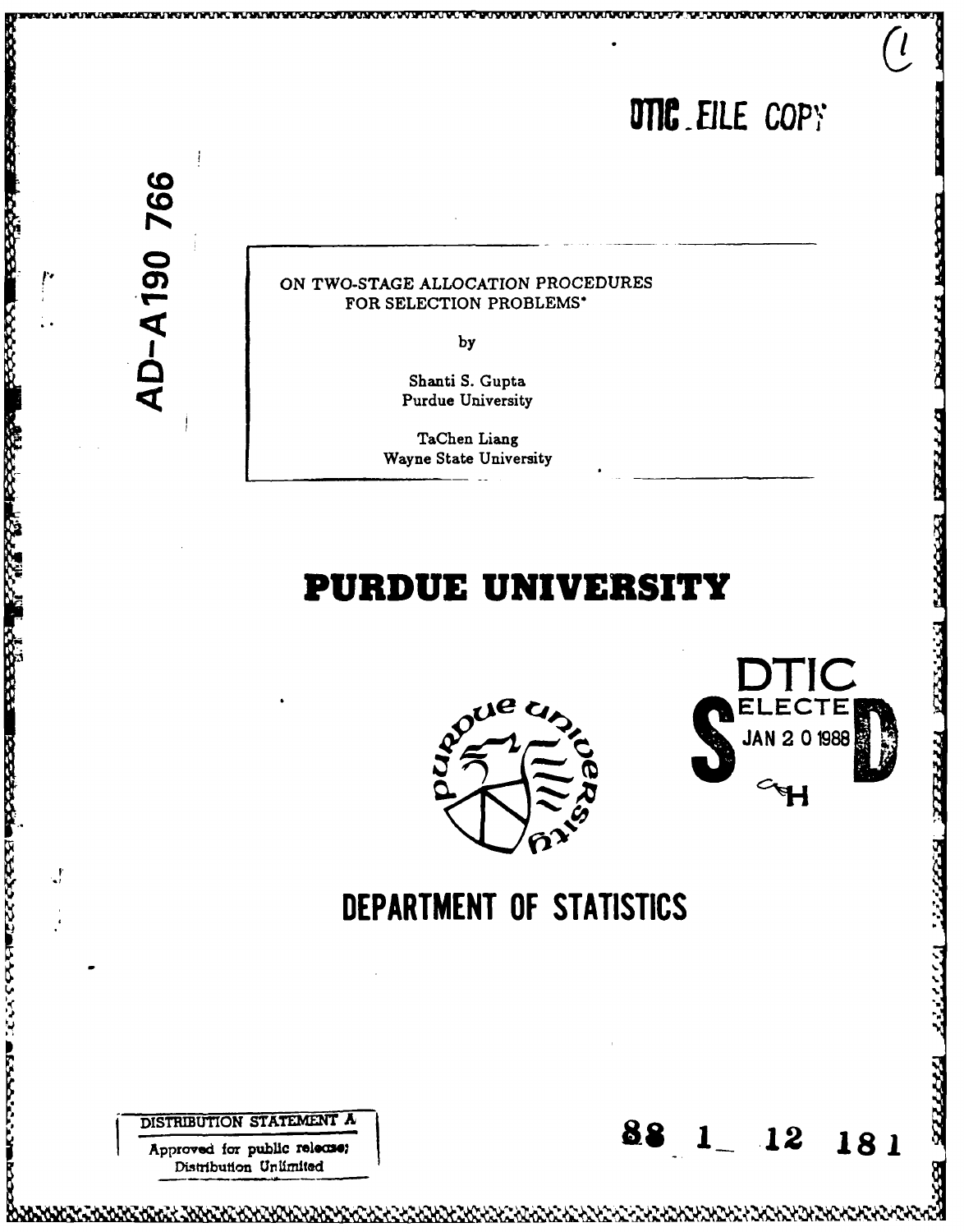# **311CEILE COPY"**

 $^{\prime}$   $^{\prime}$ 

**CD N** 1\*f **ON TWO-STAGE ALLOCATION** PROCEDURES **" by**

**The Second Control of Second** 

**හර්දිතවම මහ සිටි විදිහිටි මිලිස් ප්රදාල මිලිස් විදිහිට මෙය සිටි විදිහිට මෙය විදිහිට විදිහිට විදිහිට විදිහිට විදිහිට විදිහිට විදිහිට විදිහිට විදිහිට විදිහිට විදිහිට විදිහිට විදිහිට විදිහිට විදිහිට විදිහිට විදිහිට විදිහි** 

# ON TWO-STAGE ALLOCATION PROCEDURES FOR SELECTION PROBLEMS\*

**0** Shanti **S.** Gupta Purdue University

TaChen Liang Wayne State University

# **PURDUE UNIVERSITY**





**ARTICAL** 

# **DEPARTMENT OF STATISTICS**

DISTRIBUTION STATEMENT A

 $\frac{MSTRLU1110N \text{ SIALEW2C}}{\text{Approxed for public release}}$  **12 181** Distribution Unlimited

**..... .**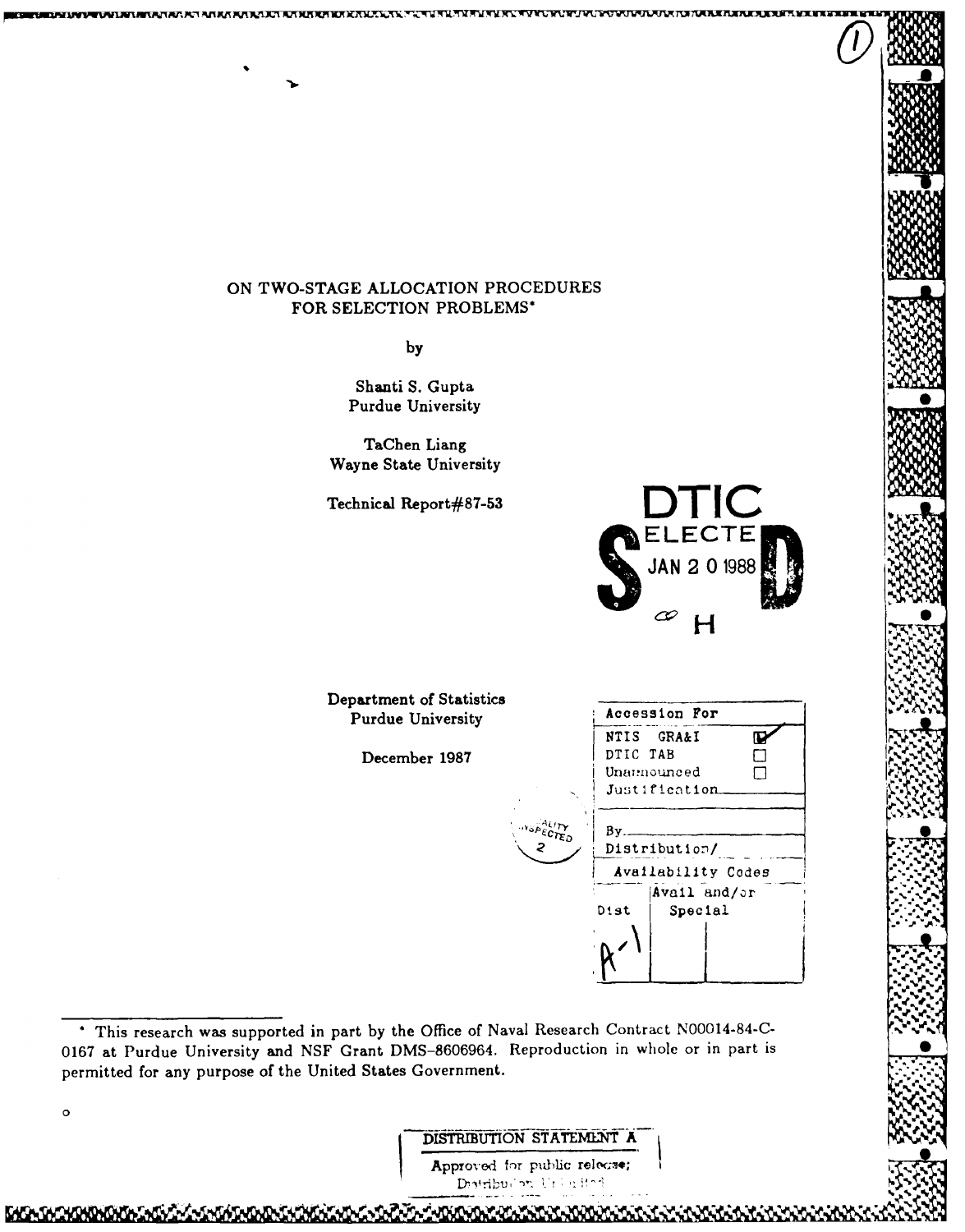

in ka ba'an ka ka ka ka ka ka kalan ka

 $\circ$ 

**SINAKAKANA TURKITARI** 

| DISTRIBUTION STATEMENT A |  |  |  |  |  |
|--------------------------|--|--|--|--|--|
|                          |  |  |  |  |  |

| Approved for public relecter; |  |
|-------------------------------|--|
| Distribution United Hod       |  |
|                               |  |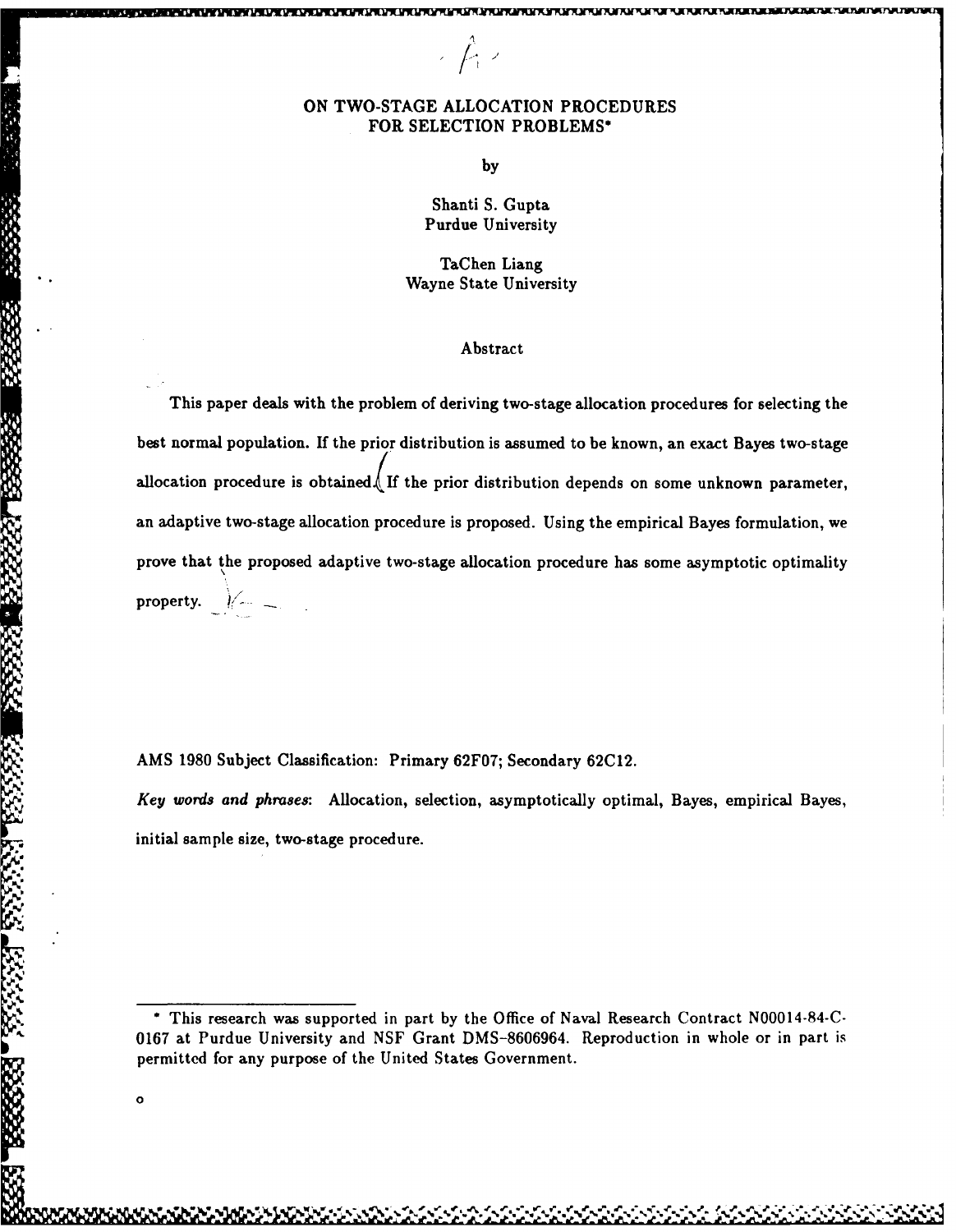# **ON TWO-STAGE** ALLOCATION PROCEDURES FOR **SELECTION** PROBLEMS\*

 $\mathcal{L}$ 

**by**

Shanti **S.** Gupta Purdue University

TaChen Liang Wayne State University

#### Abstract

This paper deals with the problem of deriving two-stage allocation procedures for selecting the best normal population. If the prior distribution is assumed to be known, an exact Bayes two-stage allocation procedure is obtained  $\oint$  If the prior distribution depends on some unknown parameter, an adaptive two-stage allocation procedure is proposed. Using the empirical Bayes formulation, we prove that the proposed adaptive two-stage allocation procedure has some asymptotic optimality property.  $1/2$ 

**AMS 1980** Subject Classification: Primary **62F07;** Secondary **62C12.**

*Key words and phrases:* Allocation, selection, asymptotically optimal, Bayes, empirical Bayes, initial sample size, two-stage procedure.

ANG PANGANG PANGANG PANGANG PANG

This research was supported in part **by** the Office of Naval Research Contract N00014-84-C-**0167** at Purdue University and **NSF** Grant **DMS-8606964.** Reproduction in whole or in part is permitted for any purpose of the United States Government.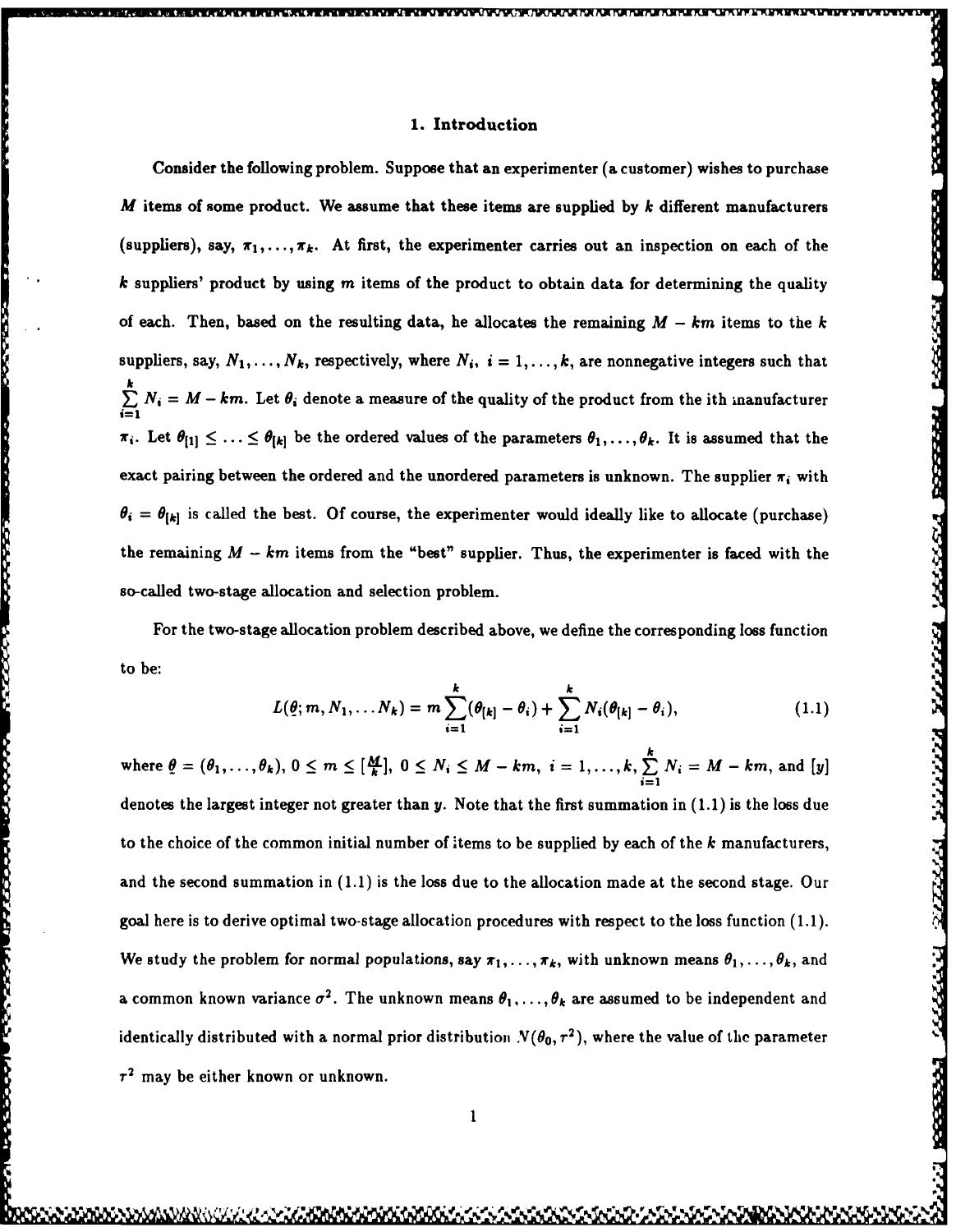#### **1.** Introduction

Consider the following problem. Suppose that an experimenter (a customer) wishes to purchase *M* items of some product. We assume that these items are supplied **by** *k* different manufacturers (suppliers), say,  $\pi_1, \ldots, \pi_k$ . At first, the experimenter carries out an inspection on each of the *k* suppliers' product **by** using *m* items of the product to obtain data for determining the quality of each. Then, based on the resulting data, he allocates the remaining  $M - km$  items to the  $k$ suppliers, say,  $N_1, \ldots, N_k$ , respectively, where  $N_i$ ,  $i = 1, \ldots, k$ , are nonnegative integers such that  $\sum_{i=1}^{n} N_i = M - km$ . Let  $\theta_i$  denote a measure of the quality of the product from the ith manufacturer  $\pi_i$ . Let  $\theta_{[1]} \leq \ldots \leq \theta_{[k]}$  be the ordered values of the parameters  $\theta_1, \ldots, \theta_k$ . It is assumed that the exact pairing between the ordered and the unordered parameters is unknown. The supplier  $\pi_i$  with  $\theta_i = \theta_{[k]}$  is called the best. Of course, the experimenter would ideally like to allocate (purchase) the remaining  $M - km$  items from the "best" supplier. Thus, the experimenter is faced with the so-called two-stage allocation and selection problem.

For the two-stage allocation problem described above, we define the corresponding loss function to be:

$$
L(\hat{\theta}; m, N_1, \ldots N_k) = m \sum_{i=1}^k (\theta_{[k]} - \theta_i) + \sum_{i=1}^k N_i (\theta_{[k]} - \theta_i), \qquad (1.1)
$$

52222223

12322344

2222222

772723

777774

21777741

التامة والمقام

*k x h*  $\leq$  *0.***, 0**  $\leq$ *m*  $\leq$  [*M*], 0  $\leq$  *N<sub>i</sub>*  $\leq$  *M*  $\leq$  *km*<sub>i</sub>  $\leq$  1  $\leq$  *km*<sub>i</sub>  $\leq$  *M*<sub>i</sub>  $\leq$  *M*<sub>i</sub>  $\leq$  *M*<sub>i</sub>  $\leq$  *M*<sub>i</sub>  $\leq$  *M*<sub>i</sub>  $\leq$  *M*<sub>i</sub>  $\leq$  *M*<sub>i</sub>  $\leq$  *M*<sub>i</sub> **,=1** denotes the largest integer not greater than **y.** Note that the first summation in **(1.1)** is the loss due to the choice of the common initial number of items to be supplied **by** each of the *k* manufacturers, and the second summation in **(1.1)** is the loss due to the allocation made at the second stage. Our goal here is to derive optimal two-stage allocation procedures with respect to the loss function **(1.1).** We study the problem for normal populations, say  $\pi_1, \ldots, \pi_k$ , with unknown means  $\theta_1, \ldots, \theta_k$ , and a common known variance  $\sigma^2$ . The unknown means  $\theta_1, \ldots, \theta_k$  are assumed to be independent and identically distributed with a normal prior distribution  $N(\theta_0, \tau^2)$ , where the value of the parameter  $\tau^2$  may be either known or unknown.

w **S.**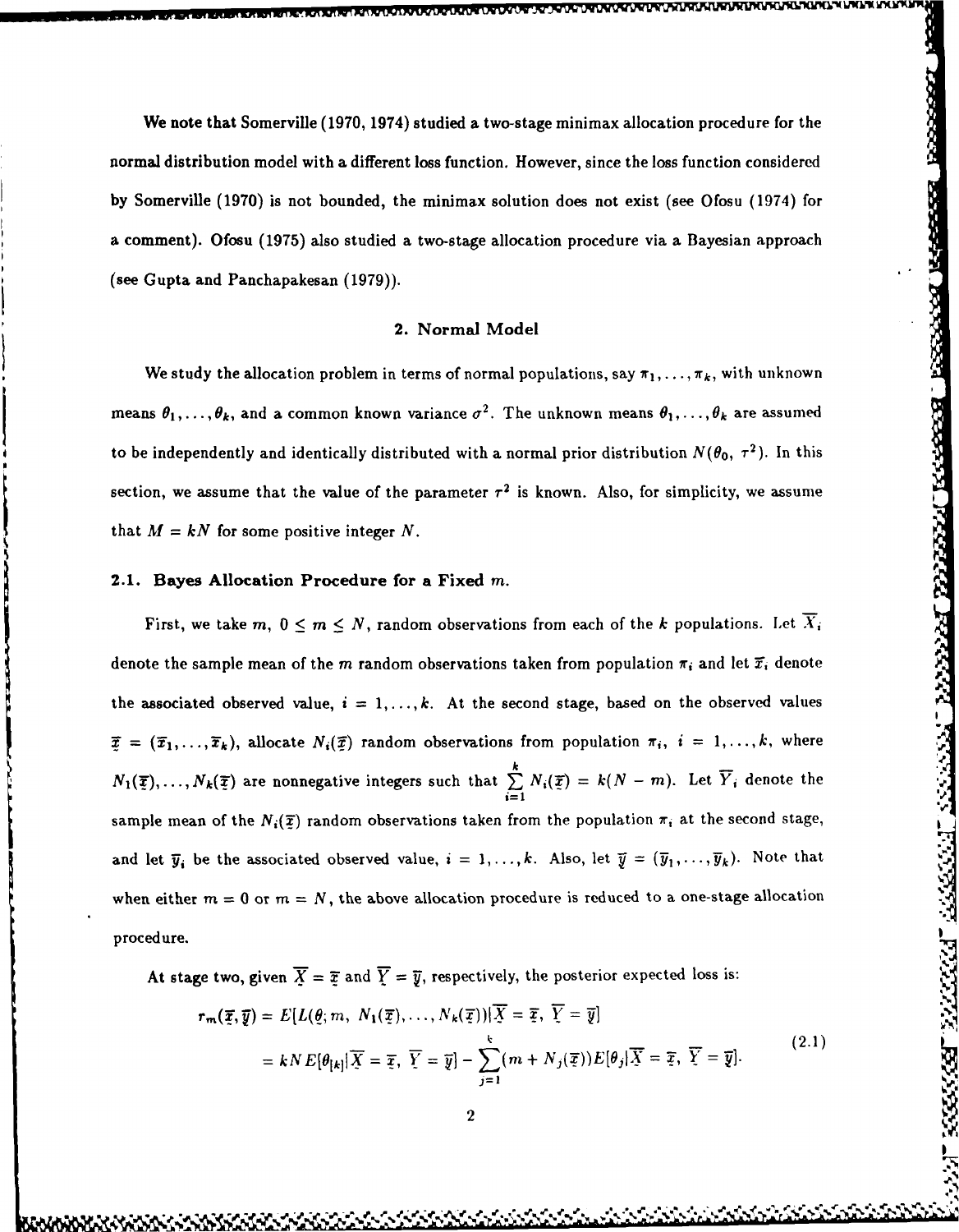**i**

\*.

We note that Somerville **(1970, 1974)** studied a two-stage minimax allocation procedure for the normal distribution model with a different loss function. However, since the loss function considered **by** Somerville **(1970)** is not bounded, the minimax solution does not exist (see Ofosu (1974) for a comment). Ofosu **(1975)** also studied a two-stage allocation procedure via a Bayesian approach (see Gupta and Panchapakesan **(1979)).**

#### 2. Normal Model

We study the allocation problem in terms of normal populations, say  $\pi_1, \ldots, \pi_k$ , with unknown means  $\theta_1,\ldots,\theta_k$ , and a common known variance  $\sigma^2$ . The unknown means  $\theta_1,\ldots,\theta_k$  are assumed to be independently and identically distributed with a normal prior distribution  $N(\theta_0, \tau^2)$ . In this section, we assume that the value of the parameter  $\tau^2$  is known. Also, for simplicity, we assume that  $M = kN$  for some positive integer N.

#### 2.1. Bayes Allocation Procedure for a Fixed m.

First, we take  $m, 0 \le m \le N$ , random observations from each of the *k* populations. Let  $X_i$ denote the sample mean of the m random observations taken from population  $\pi_i$  and let  $\bar{x}_i$  denote the associated observed value,  $i = 1, ..., k$ . At the second stage, based on the observed values  $\vec{x} = (\vec{x}_1, \ldots, \vec{x}_k)$ , allocate  $N_i(\vec{x})$  random observations from population  $\pi_i$ ,  $i = 1, \ldots, k$ , where  $N_1(\overline{\boldsymbol{\tau}}),...,N_k(\overline{\boldsymbol{\tau}})$  are nonnegative integers such that  $\sum_{i=1}^k N_i(\overline{\boldsymbol{\tau}}) = k(N-m)$ . Let  $\overline{Y}_i$  denote the sample mean of the  $N_i(\bar{x})$  random observations taken from the population  $\pi_i$  at the second stage, and let  $\overline{y}_i$  be the associated observed value,  $i = 1, ..., k$ . Also, let  $\overline{y} = (\overline{y}_1, ..., \overline{y}_k)$ . Note that when either  $m = 0$  or  $m = N$ , the above allocation procedure is reduced to a one-stage allocation procedure.

At stage two, given  $\overline{X} = \overline{x}$  and  $\overline{Y} = \overline{y}$ , respectively, the posterior expected loss is:

$$
r_m(\overline{x}, \overline{y}) = E[L(\theta; m, N_1(\overline{x}), \dots, N_k(\overline{x})) | \overline{X} = \overline{x}, \overline{Y} = \overline{y}]
$$
  
=  $k N E[\theta_{[k]} | \overline{X} = \overline{x}, \overline{Y} = \overline{y}] - \sum_{j=1}^k (m + N_j(\overline{x})) E[\theta_j | \overline{X} = \overline{x}, \overline{Y} = \overline{y}].$  (2.1)

*1 . o . ,',- . . .-. ,,- . e " ,,"e € ," . " " " ," "- -" ";"- "'a"-"-¢-' d,"''' - r " "\*' '*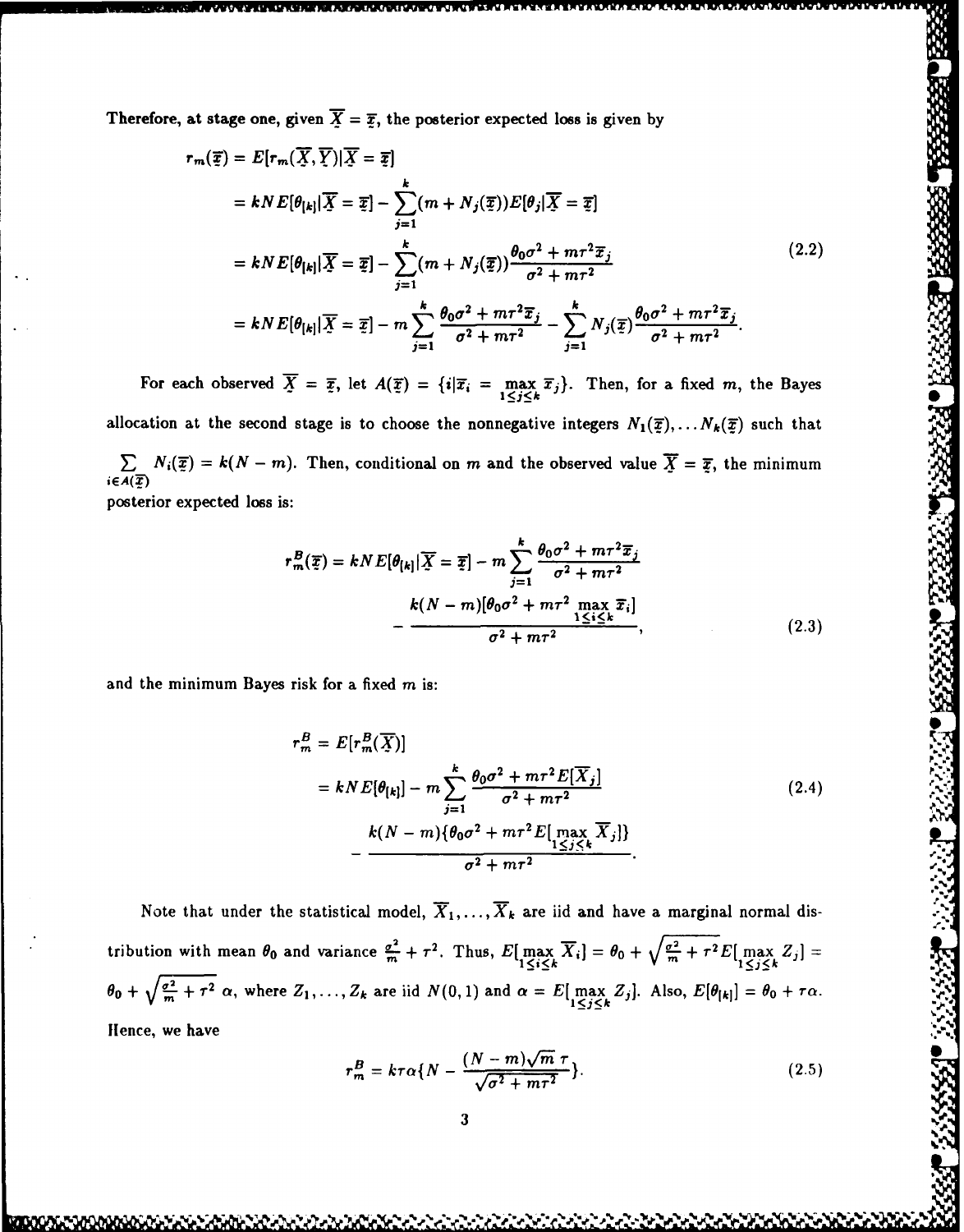Therefore, at stage one, given  $\overline{X} = \overline{x}$ , the posterior expected loss is given by

$$
r_m(\overline{x}) = E[r_m(\overline{X}, \overline{Y}) | \overline{X} = \overline{x}]
$$
  
\n
$$
= kN E[\theta_{[k]} | \overline{X} = \overline{x}] - \sum_{j=1}^{k} (m + N_j(\overline{x})) E[\theta_j | \overline{X} = \overline{x}]
$$
  
\n
$$
= kN E[\theta_{[k]} | \overline{X} = \overline{x}] - \sum_{j=1}^{k} (m + N_j(\overline{x})) \frac{\theta_0 \sigma^2 + m \tau^2 \overline{x}_j}{\sigma^2 + m \tau^2}
$$
  
\n
$$
= kN E[\theta_{[k]} | \overline{X} = \overline{x}] - m \sum_{j=1}^{k} \frac{\theta_0 \sigma^2 + m \tau^2 \overline{x}_j}{\sigma^2 + m \tau^2} - \sum_{j=1}^{k} N_j(\overline{x}) \frac{\theta_0 \sigma^2 + m \tau^2 \overline{x}_j}{\sigma^2 + m \tau^2}.
$$
\n(2.2)

For each observed  $\overline{X} = \overline{x}$ , let  $A(\overline{x}) = \{i | \overline{x}_i = \max_{1 \leq j \leq k} \overline{x}_j\}$ . Then, for a fixed *m*, the Bayes allocation at the second stage is to choose the nonnegative integers  $N_1(\overline{z}),...,N_k(\overline{z})$  such that  $\sum N_i(\overline{x}) = k(N-m)$ . Then, conditional on *m* and the observed value  $\overline{X} = \overline{x}$ , the minimum *iEA(:f)* posterior expected loss is:

$$
r_m^B(\overline{x}) = kN E[\theta_{[k]}|\overline{X} = \overline{x}] - m \sum_{j=1}^k \frac{\theta_0 \sigma^2 + m\tau^2 \overline{x}_j}{\sigma^2 + m\tau^2}
$$

$$
= \frac{k(N-m)[\theta_0 \sigma^2 + m\tau^2 \max_{1 \le i \le k} \overline{x}_i]}{\sigma^2 + m\tau^2}, \qquad (2.3)
$$

and the minimum Bayes risk for a fixed  $m$  is:

$$
r_m^B = E[r_m^B(\overline{X})]
$$
  
=  $kNE[\theta_{[k]}] - m \sum_{j=1}^k \frac{\theta_0 \sigma^2 + m\tau^2 E[\overline{X}_j]}{\sigma^2 + m\tau^2}$   

$$
- \frac{k(N-m)\{\theta_0 \sigma^2 + m\tau^2 E[\max_{1 \le j \le k} \overline{X}_j]\}}{\sigma^2 + m\tau^2}.
$$
 (2.4)

Note that under the statistical model,  $\overline{X}_1,\ldots,\overline{X}_k$  are iid and have a marginal normal distribution with mean **0o** and variance 2" + <sup>r</sup> 2. Thus, *E+IaX ' ]=Go+ +r2E[max Z,] = z*<sub>15</sub> and variance  $\frac{2}{m} + \tau^2$ . Thus,  $E[\max_{1 \le i \le k} X_i] = v_0 + \sqrt{\frac{2}{m}} + \tau^2 E[\max_{1 \le j \le k} Z_j] =$  $\theta_0 + \sqrt{\frac{\sigma^2}{m} + \tau^2}$   $\alpha$ , where  $Z_1, \ldots, Z_k$  are iid  $N(0, 1)$  and  $\alpha = E[\max_{1 \leq j \leq k} Z_j]$ . Also,  $E[\theta_{[k]}] = \theta_0 + \tau \alpha$ . Hence, we have

$$
r_m^B = k\tau\alpha\{N - \frac{(N-m)\sqrt{m}\tau}{\sqrt{\sigma^2 + m\tau^2}}\}.
$$
\n(2.5)

**.~** ~%%~a?%~% ~' **p5***%*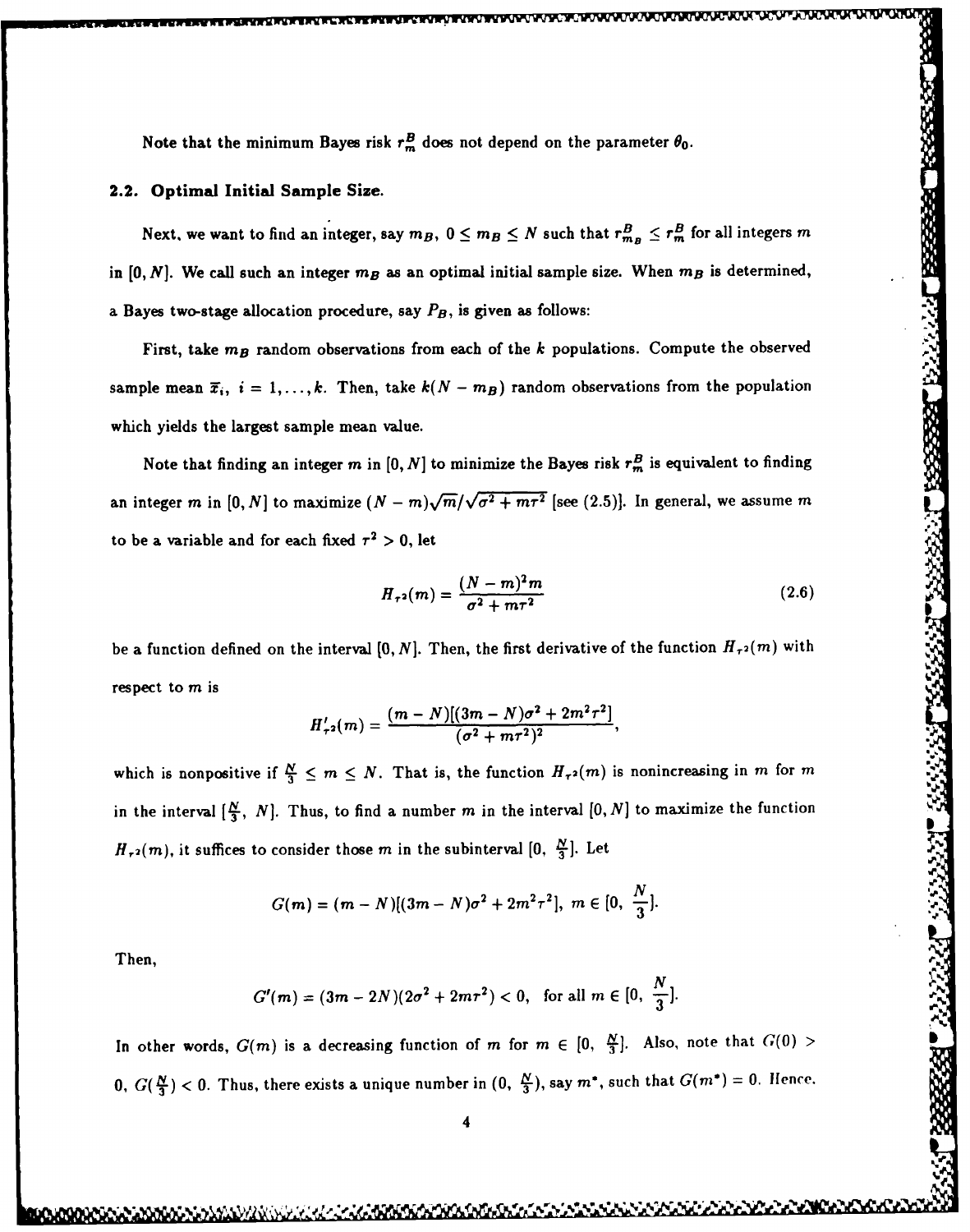# 2.2. Optimal Initial Sample Size.

Next, we want to find an integer, say  $m_B$ ,  $0 \le m_B \le N$  such that  $r_{m_B}^B \le r_m^B$  for all integers  $m$ in  $[0, N]$ . We call such an integer  $m_B$  as an optimal initial sample size. When  $m_B$  is determined, a Bayes two-stage allocation procedure, say *PB,* is given as follows:

First, take  $m_B$  random observations from each of the *k* populations. Compute the observed sample mean  $\bar{x}_i$ ,  $i = 1, ..., k$ . Then, take  $k(N - m_B)$  random observations from the population which yields the largest sample mean value.

Note that finding an integer m in  $[0, N]$  to minimize the Bayes risk  $r_m^B$  is equivalent to finding an integer m in  $[0, N]$  to maximize  $(N - m)\sqrt{m}/\sqrt{\sigma^2 + m\tau^2}$  [see (2.5)]. In general, we assume m to be a variable and for each fixed  $\tau^2 > 0$ , let

$$
H_{\tau^2}(m) = \frac{(N-m)^2 m}{\sigma^2 + m\tau^2}
$$
 (2.6)

<u>@@@@@@@@@@@@@@@@@@@@@@@@@@@@@@@@@@</u>

**N** N.

be a function defined on the interval  $[0, N]$ . Then, the first derivative of the function  $H_{\tau^2}(m)$  with respect to m is

$$
H'_{\tau^2}(m)=\frac{(m-N)[(3m-N)\sigma^2+2m^2\tau^2]}{(\sigma^2+m\tau^2)^2},
$$

which is nonpositive if  $\frac{N}{3} \leq m \leq N$ . That is, the function  $H_{\tau^2}(m)$  is nonincreasing in m for m in the interval  $\left[\frac{N}{3}, N\right]$ . Thus, to find a number m in the interval  $[0, N]$  to maximize the function  $H_{\tau^2}(m)$ , it suffices to consider those m in the subinterval  $[0, \frac{N}{3}]$ . Let

$$
G(m) = (m - N)[(3m - N)\sigma^{2} + 2m^{2}\tau^{2}], \ m \in [0, \frac{N}{3}].
$$

Then,

**SOSOSSOSSOSSOS** 

$$
G'(m) = (3m - 2N)(2\sigma^2 + 2m\tau^2) < 0, \text{ for all } m \in [0, \frac{N}{3}].
$$

In other words,  $G(m)$  is a decreasing function of m for  $m \in [0, \frac{N}{3}]$ . Also, note that  $G(0)$  >  $0, G(\frac{N}{3}) < 0$ . Thus, there exists a unique number in  $(0, \frac{N}{3})$ , say  $m^*$ , such that  $G(m^*) = 0$ . Hence.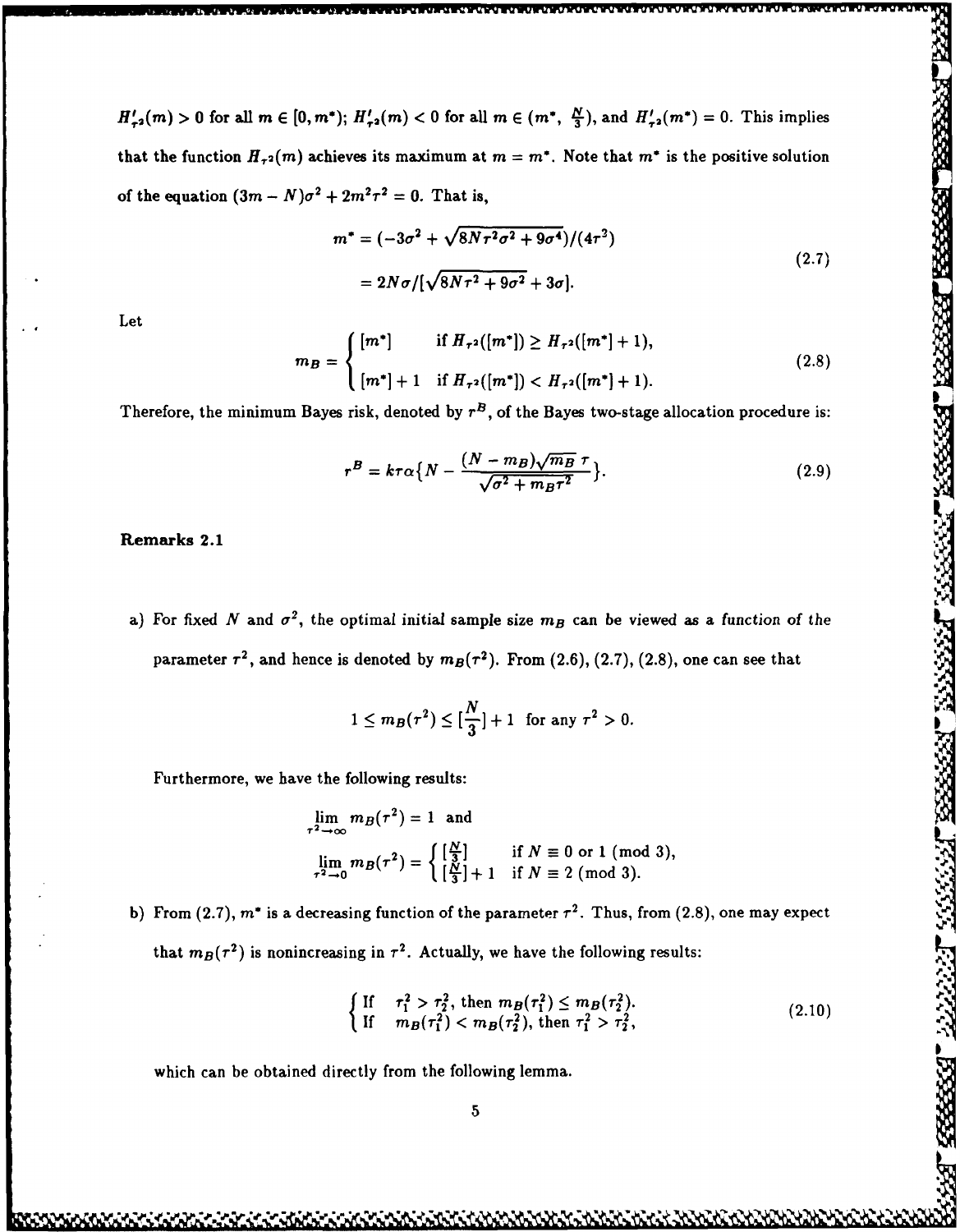$H'_{\tau^2}(m) > 0$  for all  $m \in [0, m^*); H'_{\tau^2}(m) < 0$  for all  $m \in (m^*, \frac{N}{3})$ , and  $H'_{\tau^2}(m^*) = 0$ . This implies that the function  $H_{72}(m)$  achieves its maximum at  $m = m^*$ . Note that  $m^*$  is the positive solution of the equation  $(3m - N)\sigma^2 + 2m^2\tau^2 = 0$ . That is,

$$
m^* = (-3\sigma^2 + \sqrt{8N\tau^2\sigma^2 + 9\sigma^4})/(4\tau^2)
$$
  
=  $2N\sigma/[\sqrt{8N\tau^2 + 9\sigma^2} + 3\sigma].$  (2.7)

1233333333333333333333333

Let

$$
m_B = \begin{cases} [m^*] & \text{if } H_{\tau^2}([m^*]) \ge H_{\tau^2}([m^*]+1), \\ [m^*]+1 & \text{if } H_{\tau^2}([m^*]) < H_{\tau^2}([m^*]+1). \end{cases}
$$
(2.8)

Therefore, the minimum Bayes risk, denoted by  $r^B$ , of the Bayes two-stage allocation procedure is:

$$
r^{B} = k\tau\alpha\left\{N - \frac{(N - m_{B})\sqrt{m_{B}}\tau}{\sqrt{\sigma^{2} + m_{B}\tau^{2}}}\right\}.
$$
\n(2.9)

#### Remarks 2.1

a) For fixed N and  $\sigma^2$ , the optimal initial sample size  $m_B$  can be viewed as a function of the parameter  $\tau^2$ , and hence is denoted by  $m_B(\tau^2)$ . From (2.6), (2.7), (2.8), one can see that

$$
1 \le m_B(\tau^2) \le \left[\frac{N}{3}\right] + 1 \text{ for any } \tau^2 > 0.
$$

$$
\lim_{\tau^2 \to \infty} m_B(\tau^2) = 1
$$
 and  
\n
$$
\lim_{\tau^2 \to 0} m_B(\tau^2) = \begin{cases} \left[\frac{N}{3}\right] & \text{if } N \equiv 0 \text{ or } 1 \pmod{3}, \\ \left[\frac{N}{3}\right] + 1 & \text{if } N \equiv 2 \pmod{3}. \end{cases}
$$

**b)** From (2.7),  $m^*$  is a decreasing function of the parameter  $\tau^2$ . Thus, from (2.8), one may expect that  $m_B(\tau^2)$  is nonincreasing in  $\tau^2$ . Actually, we have the following results:

$$
\begin{cases} \text{If} & \tau_1^2 > \tau_2^2, \text{ then } m = (\tau_1^2) \le m = (\tau_2^2).\\ \text{If} & m = (\tau_1^2) < m = (\tau_2^2), \text{ then } \tau_1^2 > \tau_2^2, \end{cases} \tag{2.10}
$$

which can be obtained directly from the following lemma.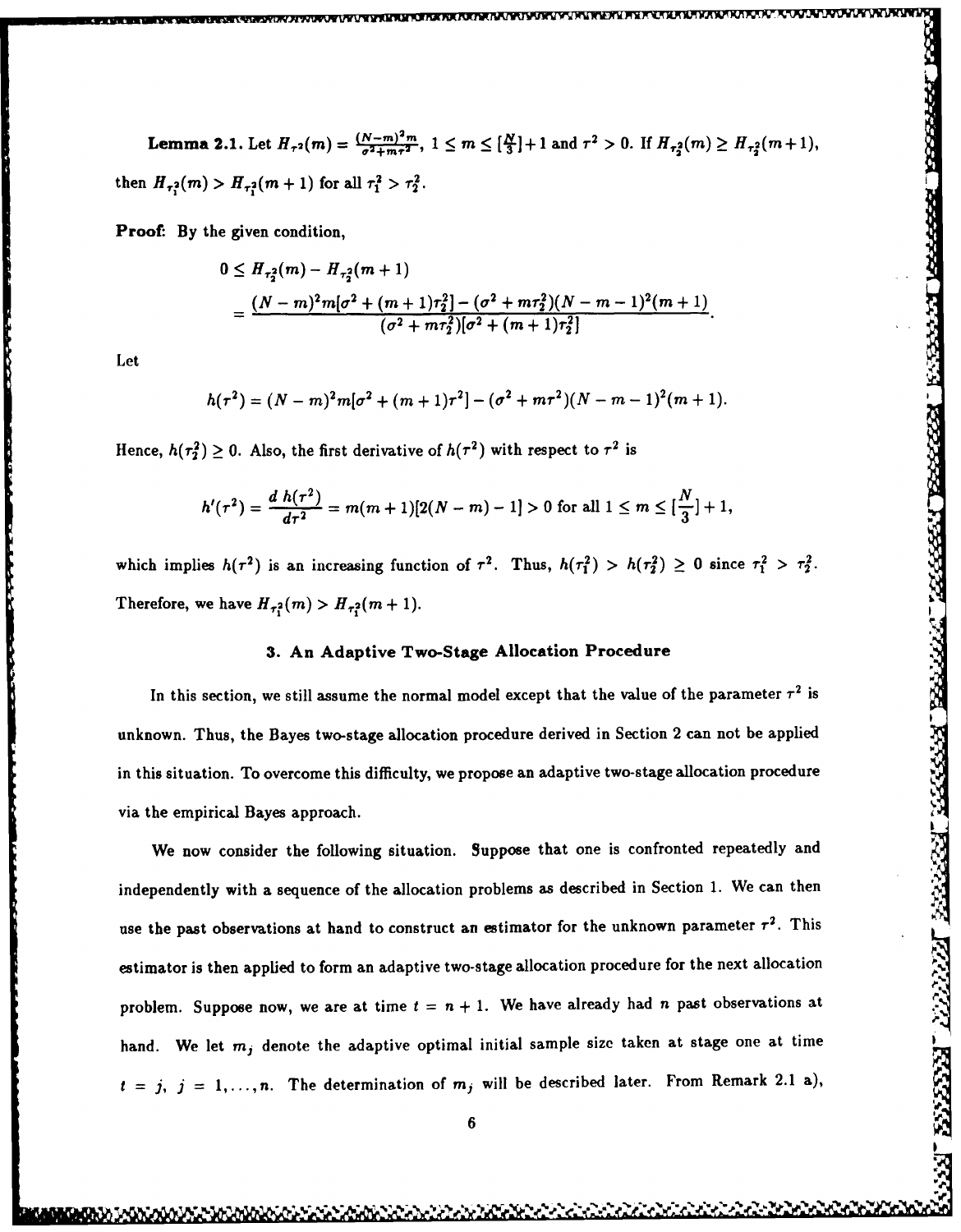Proof: By the given condition,

$$
0 \leq H_{\tau_2^2}(m) - H_{\tau_2^2}(m+1)
$$
  
= 
$$
\frac{(N-m)^2m[\sigma^2 + (m+1)\tau_2^2] - (\sigma^2 + m\tau_2^2)(N-m-1)^2(m+1)}{(\sigma^2 + m\tau_2^2)[\sigma^2 + (m+1)\tau_2^2]}.
$$

Let

$$
h(\tau^2) = (N-m)^2 m [\sigma^2 + (m+1)\tau^2] - (\sigma^2 + m\tau^2)(N-m-1)^2(m+1).
$$

Hence,  $h(\tau_2^2) \ge 0$ . Also, the first derivative of  $h(\tau^2)$  with respect to  $\tau^2$  is

$$
h'(r^2) = \frac{d h(r^2)}{dr^2} = m(m+1)[2(N-m)-1] > 0
$$
 for all  $1 \le m \le \lfloor \frac{N}{3} \rfloor + 1$ ,

which implies  $h(\tau^2)$  is an increasing function of  $\tau^2$ . Thus,  $h(\tau_1^2) > h(\tau_2^2) \ge 0$  since  $\tau_1^2 > \tau_2^2$ . Therefore, we have  $H_{\tau_1^2}(m) > H_{\tau_1^2}(m+1)$ .

#### **3.** An Adaptive Two-Stage Allocation Procedure

In this section, we still assume the normal model except that the value of the parameter  $\tau^2$  is unknown. Thus, the Bayes two-stage allocation procedure derived in Section 2 can not be applied in this situation. To overcome this difficulty, we propose an adaptive two-stage allocation procedure via the empirical Bayes approach.

We now consider the following situation. Suppose that one is confronted repeatedly and independently with a sequence of the allocation problems as described in Section **1.** We can then use the past observations at hand to construct an estimator for the unknown parameter  $\tau^2$ . This estimator is then applied to form an adaptive two-stage allocation procedure for the next allocation problem. Suppose now, we are at time  $t = n + 1$ . We have already had *n* past observations at hand. We let  $m_j$  denote the adaptive optimal initial sample size taken at stage one at time  $t = j$ ,  $j = 1, ..., n$ . The determination of  $m_j$  will be described later. From Remark 2.1 a), **EEERS** EEERS EEERS

12233222 12333222

**FEREEFER** 

- BAARA 1222231 BAARA

a kata da ya katika wa matsha wa matsha ya kushi na kata wa matsha ya kushi na kata wa matsha ya kata wa matsh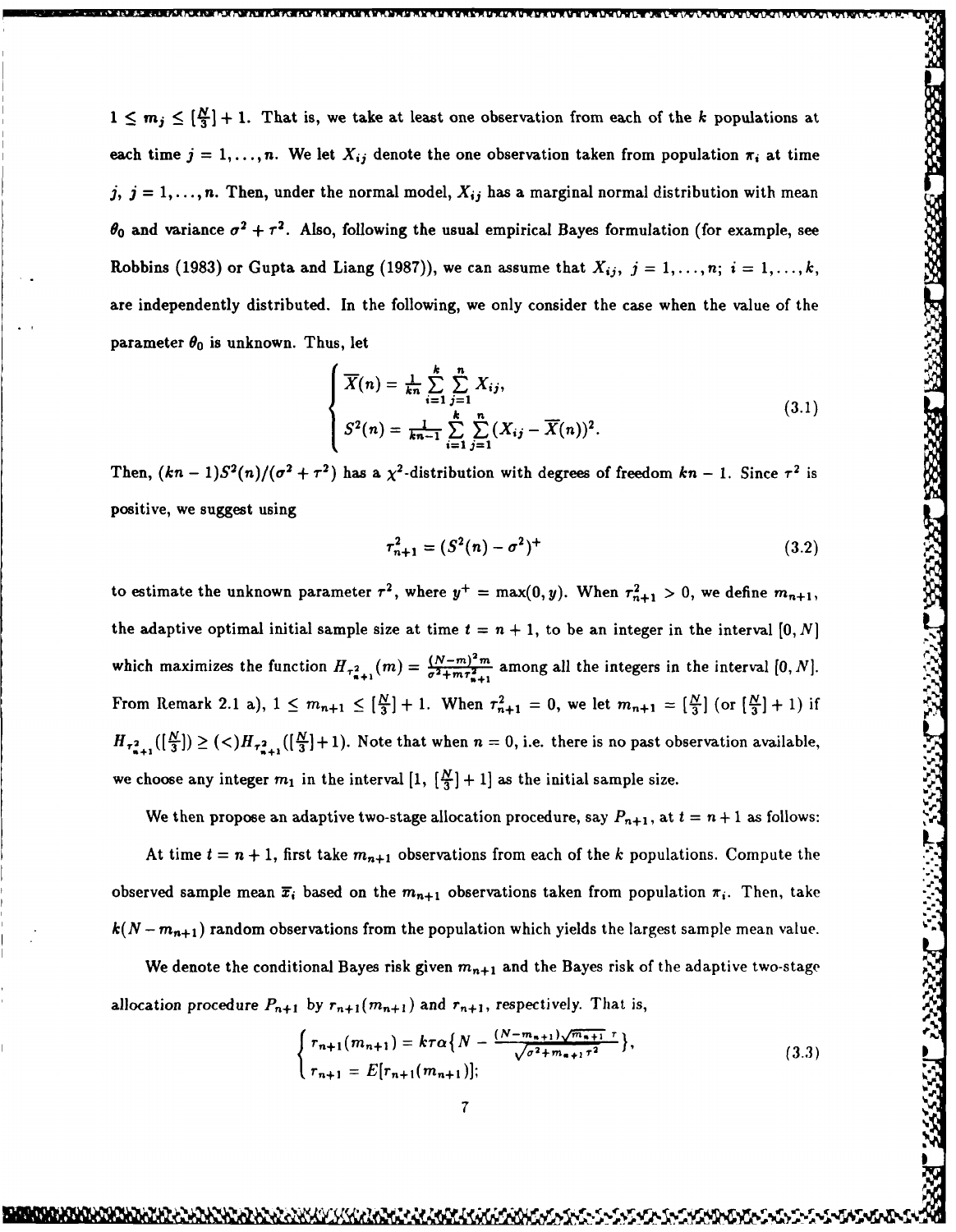$1 \leq m_j \leq {\frac{N}{3}} + 1$ . That is, we take at least one observation from each of the *k* populations at each time  $j = 1, ..., n$ . We let  $X_{ij}$  denote the one observation taken from population  $\pi_i$  at time  $j, j = 1, \ldots, n$ . Then, under the normal model,  $X_{ij}$  has a marginal normal distribution with mean  $\theta_0$  and variance  $\sigma^2 + \tau^2$ . Also, following the usual empirical Bayes formulation (for example, see Robbins (1983) or Gupta and Liang (1987)), we can assume that  $X_{ij}$ ,  $j = 1, \ldots, n; i = 1, \ldots, k$ , are independently distributed. In the following, we only consider the case when the value of the parameter  $\theta_0$  is unknown. Thus, let

us, let  
\n
$$
\begin{cases}\n\overline{X}(n) = \frac{1}{kn} \sum_{i=1}^{k} \sum_{j=1}^{n} X_{ij}, \\
S^2(n) = \frac{1}{kn-1} \sum_{i=1}^{k} \sum_{j=1}^{n} (X_{ij} - \overline{X}(n))^2. \n\end{cases}
$$
\n(3.1)

Then,  $(kn - 1)S^2(n)/(\sigma^2 + \tau^2)$  has a  $\chi^2$ -distribution with degrees of freedom  $kn - 1$ . Since  $\tau^2$  is positive, we suggest using

$$
\tau_{n+1}^2 = (S^2(n) - \sigma^2)^+
$$
\n(3.2)

**KABAR TERMAT BERBERG BARBAR** 

to estimate the unknown parameter  $\tau^2$ , where  $y^+ = \max(0, y)$ . When  $\tau_{n+1}^2 > 0$ , we define  $m_{n+1}$ , the adaptive optimal initial sample size at time  $t = n + 1$ , to be an integer in the interval  $[0, N]$ which maximizes the function  $H_{\tau_{n+1}^2}(m) = \frac{(N-m)^2 m}{\sigma^2 + m \tau_{n+1}^2}$  among all the integers in the interval  $[0, N]$ . From Remark 2.1 a),  $1 \le m_{n+1} \le \left[\frac{N}{3}\right] + 1$ . When  $\tau_{n+1}^2 = 0$ , we let  $m_{n+1} = \left[\frac{N}{3}\right]$  (or  $\left[\frac{N}{3}\right] + 1$ ) if  $H_{\tau_{n+1}^2}([\frac{N}{3}]) \geq \frac{N}{4}$   $(\frac{N}{3}+1)$ . Note that when  $n = 0$ , i.e. there is no past observation available, we choose any integer  $m_1$  in the interval  $[1, \frac{N}{3}] + 1$  as the initial sample size.

We then propose an adaptive two-stage allocation procedure, say  $P_{n+1}$ , at  $t = n+1$  as follows: At time  $t = n + 1$ , first take  $m_{n+1}$  observations from each of the *k* populations. Compute the observed sample mean  $\bar{x}_i$  based on the  $m_{n+1}$  observations taken from population  $\pi_i$ . Then, take  $k(N - m_{n+1})$  random observations from the population which yields the largest sample mean value.

We denote the conditional Bayes risk given  $m_{n+1}$  and the Bayes risk of the adaptive two-stage allocation procedure  $P_{n+1}$  by  $r_{n+1}(m_{n+1})$  and  $r_{n+1}$ , respectively. That is,

$$
\begin{cases}\nr_{n+1}(m_{n+1}) = k\tau\alpha \{N - \frac{(N - m_{n+1})\sqrt{m_{n+1}} \tau}{\sqrt{\sigma^2 + m_{n+1} \tau^2}}\},\\
r_{n+1} = E[r_{n+1}(m_{n+1})];\n\end{cases} \tag{3.3}
$$

**BRINDEN ROKEN NEW SKRIV KRISK**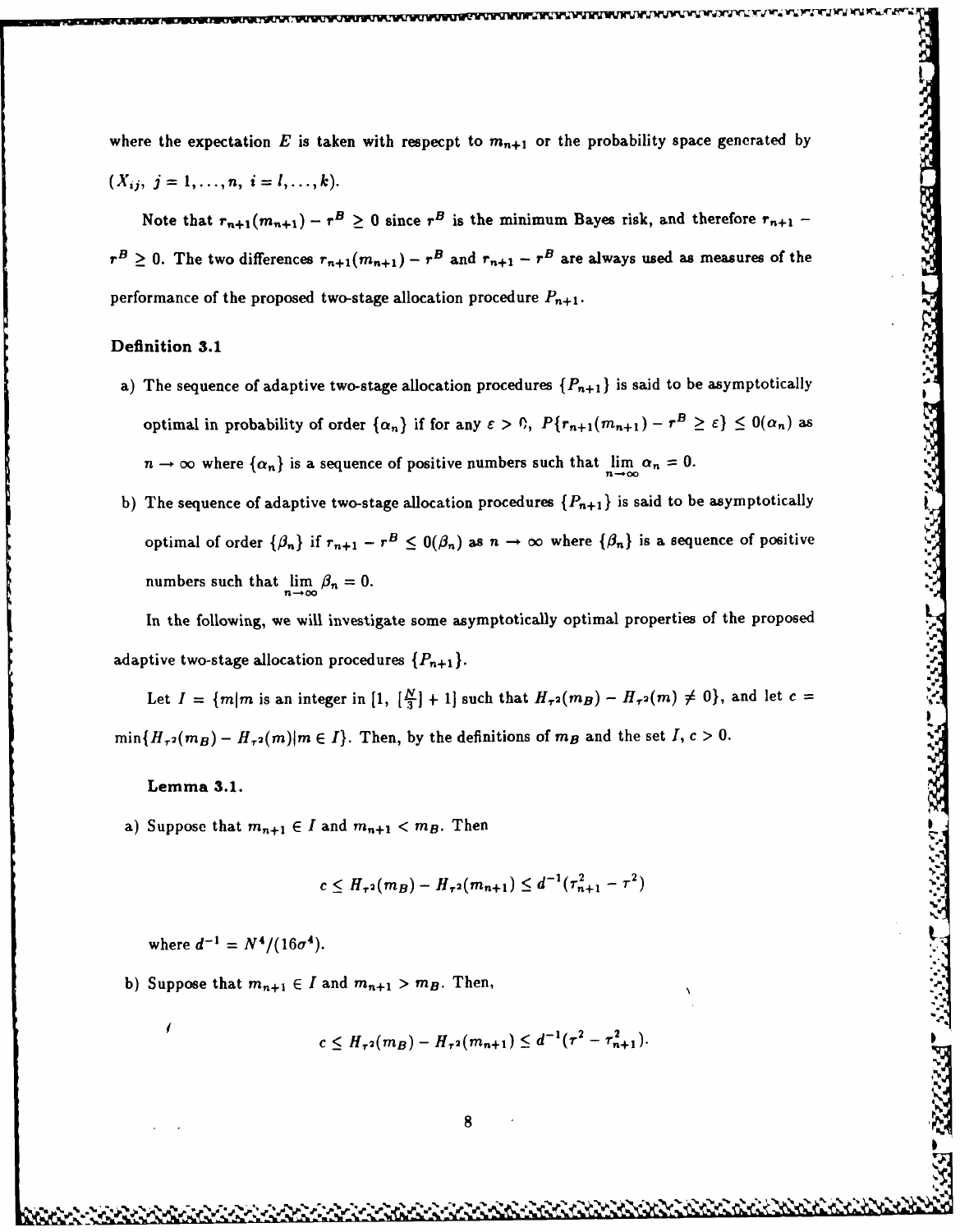Note that  $r_{n+1}(m_{n+1}) - r^B \ge 0$  since  $r^B$  is the minimum Bayes risk, and therefore  $r_{n+1}$  $r^B \geq 0$ . The two differences  $r_{n+1}(m_{n+1}) - r^B$  and  $r_{n+1} - r^B$  are always used as measures of the performance of the proposed two-stage allocation procedure  $P_{n+1}$ .

#### Definition **3.1**

- a) The sequence of adaptive two-stage allocation procedures  $\{P_{n+1}\}\$ is said to be asymptotically optimal in probability of order  $\{\alpha_n\}$  if for any  $\varepsilon > 0$ ,  $P\{r_{n+1}(m_{n+1}) - r^B \ge \varepsilon\} \le 0(\alpha_n)$  as  $n \to \infty$  where  $\{\alpha_n\}$  is a sequence of positive numbers such that  $\lim_{n \to \infty} \alpha_n = 0$ .
- b) The sequence of adaptive two-stage allocation procedures  $\{P_{n+1}\}$  is said to be asymptotically optimal of order  $\{\beta_n\}$  if  $r_{n+1} - r^B \leq 0$   $(\beta_n)$  as  $n \to \infty$  where  $\{\beta_n\}$  is a sequence of positive numbers such that  $\lim_{n \to \infty} \beta_n = 0$ . where the expectation *E* is taken with respect to  $m_{n+1}$  or the probability space generated by<br>  $X_{ij}$ ,  $j = 1, ..., n$ ,  $i = l, ..., k$ ).<br>
Note that  $r_{n+1}(m_{n+1}) - r^p \ge 0$  since  $r^p$  is the minimum Bayes risk, and therefore  $r_{n+$

In the following, we will investigate some asymptotically optimal properties of the proposed adaptive two-stage allocation procedures  $\{P_{n+1}\}.$ 

Let  $I = \{m|m \text{ is an integer in } [1, \frac{N}{3}]+1\}$  such that  $H_{\tau^2}(m_B) - H_{\tau^2}(m) \neq 0\}$ , and let  $c =$ 

#### Lemma **3.1.**

I

a) Suppose that  $m_{n+1} \in I$  and  $m_{n+1} < m_B$ . Then

$$
c \leq H_{\tau^2}(m_B) - H_{\tau^2}(m_{n+1}) \leq d^{-1}(\tau_{n+1}^2 - \tau^2)
$$

where  $d^{-1} = N^4/(16\sigma^4)$ .

where  $d^{-1} = N^4/(16\sigma^4)$ .<br>
b) Suppose that  $m_{n+1} \in I$  and  $m_{n+1} > m_B$ . Then,

$$
c \leq H_{\tau^2}(m_B) - H_{\tau^2}(m_{n+1}) \leq d^{-1}(\tau^2 - \tau_{n+1}^2).
$$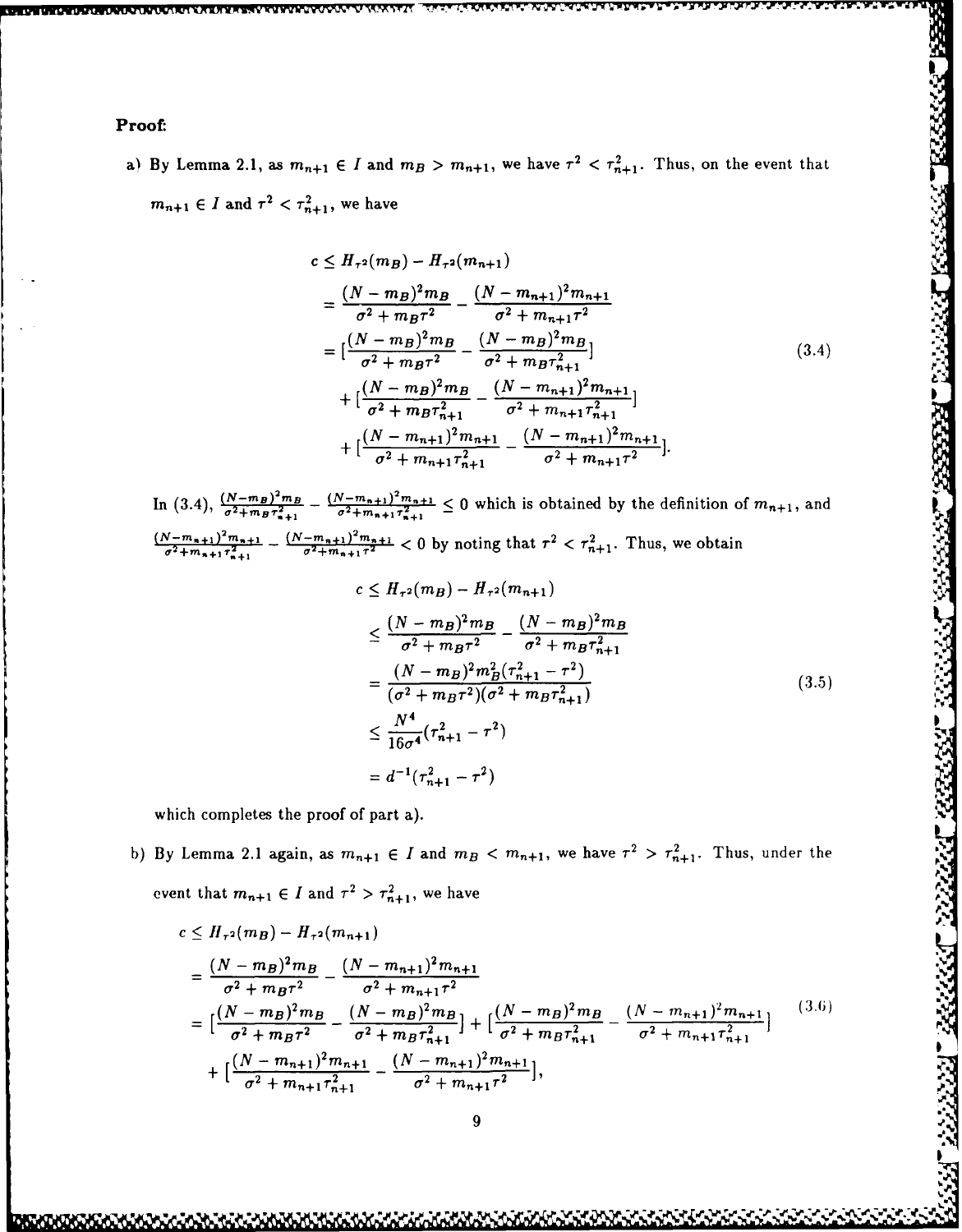# **Proof:**

**a)** By Lemma 2.1, as  $m_{n+1} \in I$  and  $m_B > m_{n+1}$ , we have  $\tau^2 < \tau_{n+1}^2$ . Thus, on the event that  $m_{n+1} \in I$  and  $\tau^2 < \tau_{n+1}^2$ , we have

$$
c \leq H_{\tau^2}(m_B) - H_{\tau^2}(m_{n+1})
$$
  
= 
$$
\frac{(N - m_B)^2 m_B}{\sigma^2 + m_B \tau^2} - \frac{(N - m_{n+1})^2 m_{n+1}}{\sigma^2 + m_{n+1} \tau^2}
$$
  
= 
$$
[\frac{(N - m_B)^2 m_B}{\sigma^2 + m_B \tau^2} - \frac{(N - m_B)^2 m_B}{\sigma^2 + m_B \tau_{n+1}^2}]
$$
  
+ 
$$
[\frac{(N - m_B)^2 m_B}{\sigma^2 + m_B \tau_{n+1}^2} - \frac{(N - m_{n+1})^2 m_{n+1}}{\sigma^2 + m_{n+1} \tau_{n+1}^2}]
$$
  
+ 
$$
[\frac{(N - m_{n+1})^2 m_{n+1}}{\sigma^2 + m_{n+1} \tau_{n+1}^2} - \frac{(N - m_{n+1})^2 m_{n+1}}{\sigma^2 + m_{n+1} \tau^2}].
$$
 (3.4)

**.** m .

In (3.4),  $\frac{(N-m_B)^2 m_B}{\sigma^2 + m_B \tau_{n+1}^2} - \frac{(N-m_{n+1})^2 m_{n+1}}{\sigma^2 + m_{n+1} \tau_{n+1}^2} \le 0$  which is obtained by the definition of  $m_{n+1}$ , and  $\frac{(N-m_{n+1})^2 m_{n+1}}{\sigma^2 + m_{n+1} \tau_{n+1}^2} - \frac{(N-m_{n+1})^2 m_{n+1}}{\sigma^2 + m_{n+1} \tau^2} < 0$  by noting that  $\tau^2 < \tau_{n+1}^2$ . Thus, we obtain

$$
c \leq H_{\tau^2}(m_B) - H_{\tau^2}(m_{n+1})
$$
  
\n
$$
\leq \frac{(N - m_B)^2 m_B}{\sigma^2 + m_B \tau^2} - \frac{(N - m_B)^2 m_B}{\sigma^2 + m_B \tau_{n+1}^2}
$$
  
\n
$$
= \frac{(N - m_B)^2 m_B^2(\tau_{n+1}^2 - \tau^2)}{(\sigma^2 + m_B \tau^2)(\sigma^2 + m_B \tau_{n+1}^2)}
$$
  
\n
$$
\leq \frac{N^4}{16\sigma^4}(\tau_{n+1}^2 - \tau^2)
$$
  
\n
$$
= d^{-1}(\tau_{n+1}^2 - \tau^2)
$$
  
\n(3.5)

'.9

**KARSSOCTERESSAS** 

which completes the proof of part a).

**b)** By Lemma 2.1 again, as  $m_{n+1} \in I$  and  $m_B < m_{n+1}$ , we have  $\tau^2 > \tau_{n+1}^2$ . Thus, under the event that  $m_{n+1} \in I$  and  $\tau^2 > \tau_{n+1}^2$ , we have

$$
c \leq H_{\tau^2}(m_B) - H_{\tau^2}(m_{n+1})
$$
  
= 
$$
\frac{(N - m_B)^2 m_B}{\sigma^2 + m_B \tau^2} - \frac{(N - m_{n+1})^2 m_{n+1}}{\sigma^2 + m_{n+1} \tau^2}
$$
  
= 
$$
\left[ \frac{(N - m_B)^2 m_B}{\sigma^2 + m_B \tau^2} - \frac{(N - m_B)^2 m_B}{\sigma^2 + m_B \tau_{n+1}^2} \right] + \left[ \frac{(N - m_B)^2 m_B}{\sigma^2 + m_B \tau_{n+1}^2} - \frac{(N - m_{n+1})^2 m_{n+1}}{\sigma^2 + m_{n+1} \tau_{n+1}^2} \right]
$$
(3.6)  
+ 
$$
\left[ \frac{(N - m_{n+1})^2 m_{n+1}}{\sigma^2 + m_{n+1} \tau_{n+1}^2} - \frac{(N - m_{n+1})^2 m_{n+1}}{\sigma^2 + m_{n+1} \tau^2} \right],
$$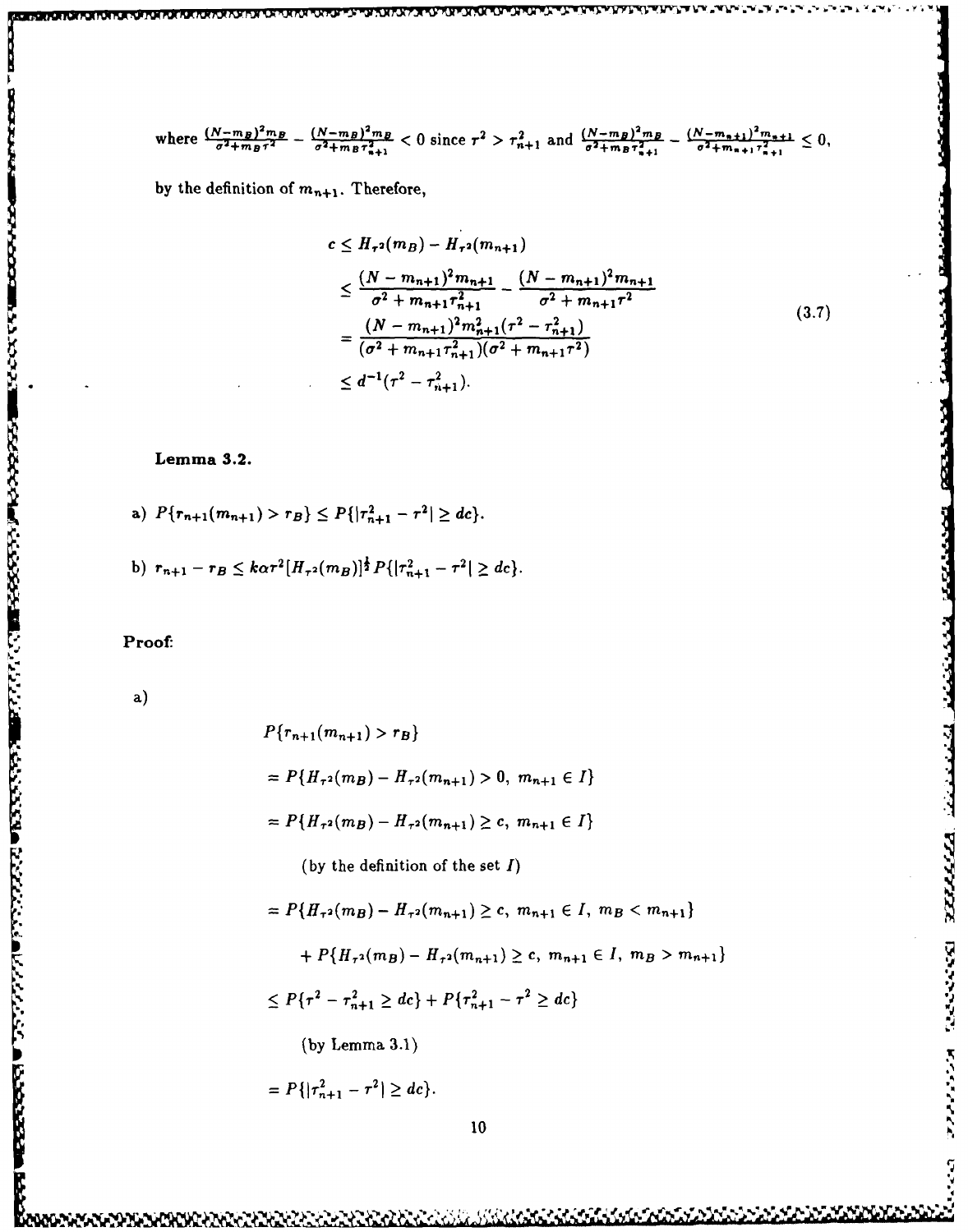where 
$$
\frac{(N-m_B)^2 m_B}{\sigma^2 + m_B \tau^2} - \frac{(N-m_B)^2 m_B}{\sigma^2 + m_B \tau_{n+1}^2} < 0
$$
 since  $\tau^2 > \tau_{n+1}^2$  and  $\frac{(N-m_B)^2 m_B}{\sigma^2 + m_B \tau_{n+1}^2} - \frac{(N-m_{n+1})^2 m_{n+1}}{\sigma^2 + m_{n+1} \tau_{n+1}^2} \le 0$ ,

by the definition of  $m_{n+1}$ . Therefore,

$$
c \leq H_{\tau^2}(m_B) - H_{\tau^2}(m_{n+1})
$$
  
\n
$$
\leq \frac{(N - m_{n+1})^2 m_{n+1}}{\sigma^2 + m_{n+1} \tau_{n+1}^2} - \frac{(N - m_{n+1})^2 m_{n+1}}{\sigma^2 + m_{n+1} \tau^2}
$$
  
\n
$$
= \frac{(N - m_{n+1})^2 m_{n+1}^2 (\tau^2 - \tau_{n+1}^2)}{(\sigma^2 + m_{n+1} \tau_{n+1}^2)(\sigma^2 + m_{n+1} \tau^2)}
$$
  
\n
$$
\leq d^{-1} (\tau^2 - \tau_{n+1}^2).
$$
\n(3.7)

**CONSIGNATION** 

355555555

الأخذ وتخالفان

 $\frac{1}{2}$ 

# Lemma **3.2.**

a) 
$$
P\{r_{n+1}(m_{n+1}) > r_B\} \le P\{|\tau_{n+1}^2 - \tau^2| \ge dc\}.
$$

b) 
$$
r_{n+1} - r_B \le k \alpha \tau^2 [H_{\tau^2}(m_B)]^{\frac{1}{2}} P\{|r_{n+1}^2 - \tau^2| \ge d_c\}.
$$

# Proof:

a)

**FORTA MERECECE T**E TETATA PRETERE PRECESSA PRETERENT EN MERECESSA APARTE DE SE ES CONSTAMENTAL DE PARTE PRESERVA<br>A

$$
P\{r_{n+1}(m_{n+1}) > r_B\}
$$
\n
$$
= P\{H_{\tau^2}(m_B) - H_{\tau^2}(m_{n+1}) > 0, m_{n+1} \in I\}
$$
\n
$$
= P\{H_{\tau^2}(m_B) - H_{\tau^2}(m_{n+1}) \ge c, m_{n+1} \in I\}
$$
\n(by the definition of the set  $I$ )\n
$$
= P\{H_{\tau^2}(m_B) - H_{\tau^2}(m_{n+1}) \ge c, m_{n+1} \in I, m_B < m_{n+1}\}
$$
\n
$$
+ P\{H_{\tau^2}(m_B) - H_{\tau^2}(m_{n+1}) \ge c, m_{n+1} \in I, m_B > m_{n+1}\}
$$
\n
$$
\le P\{\tau^2 - \tau_{n+1}^2 \ge dc\} + P\{\tau_{n+1}^2 - \tau^2 \ge dc\}
$$
\n(by Lemma 3.1)\n
$$
= P\{\tau_{n+1}^2 - \tau^2 \ge dc\}.
$$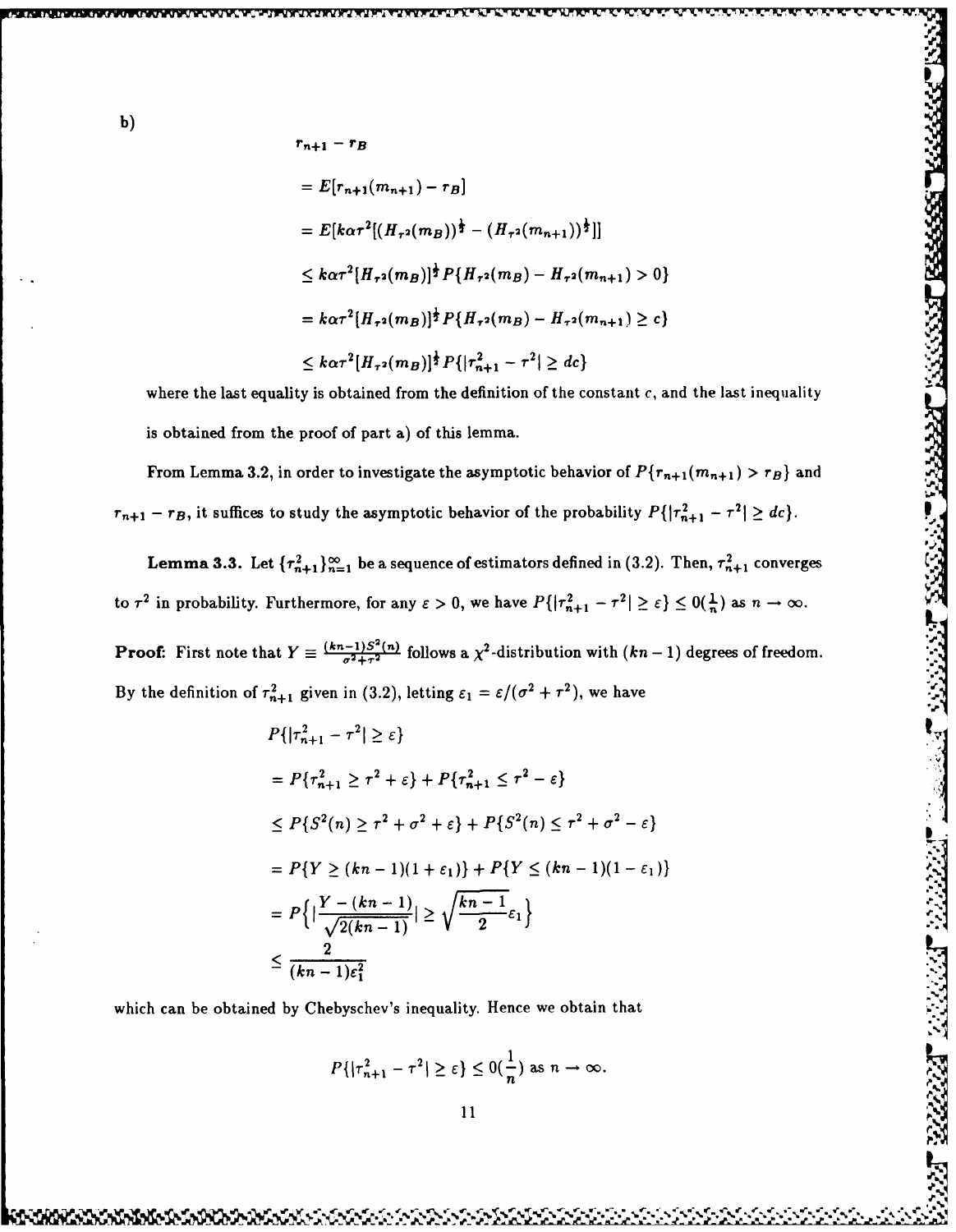**b)**

$$
r_{n+1}-r_E
$$

$$
= E[r_{n+1}(m_{n+1}) - r_B]
$$
  
\n
$$
= E[k\alpha r^2[(H_{\tau^2}(m_B))^{\frac{1}{2}} - (H_{\tau^2}(m_{n+1}))^{\frac{1}{2}}]]
$$
  
\n
$$
\leq k\alpha r^2 [H_{\tau^2}(m_B)]^{\frac{1}{2}} P\{H_{\tau^2}(m_B) - H_{\tau^2}(m_{n+1}) > 0\}
$$
  
\n
$$
= k\alpha r^2 [H_{\tau^2}(m_B)]^{\frac{1}{2}} P\{H_{\tau^2}(m_B) - H_{\tau^2}(m_{n+1}) \geq c\}
$$
  
\n
$$
\leq k\alpha r^2 [H_{\tau^2}(m_B)]^{\frac{1}{2}} P\{|\tau_{n+1}^2 - \tau^2| \geq dc\}
$$

where the last equality is obtained from the definition of the constant *c,* and the last inequality is obtained from the proof of part a) of this lemma.

From Lemma 3.2, in order to investigate the asymptotic behavior of  $P\{r_{n+1}(m_{n+1}) > r_B\}$  and  $r_{n+1} - r_B$ , it suffices to study the asymptotic behavior of the probability  $P\{|\tau_{n+1}^2 - \tau^2| \geq dc\}$ 

**Lemma 3.3.** Let  $\{\tau_{n+1}^2\}_{n=1}^{\infty}$  be a sequence of estimators defined in (3.2). Then,  $\tau_{n+1}^2$  converges to  $\tau^2$  in probability. Furthermore, for any  $\varepsilon > 0$ , we have  $P\{|\tau_{n+1}^2 - \tau^2| \ge \varepsilon\} \le 0(\frac{1}{n})$  as  $n \to \infty$ .

**Proof:** First note that  $Y = \frac{(kn-1)S^2(n)}{\sigma^2 + \tau^2}$  follows a  $\chi^2$ -distribution with  $(kn-1)$  degrees of freedom. By the definition of  $\tau_{n+1}^2$  given in (3.2), letting  $\varepsilon_1 = \varepsilon/(\sigma^2 + \tau^2)$ , we have

$$
P\{| \tau_{n+1}^2 - \tau^2 | \ge \varepsilon \}
$$
  
=  $P\{\tau_{n+1}^2 \ge \tau^2 + \varepsilon\} + P\{\tau_{n+1}^2 \le \tau^2 - \varepsilon\}$   
 $\le P\{S^2(n) \ge \tau^2 + \sigma^2 + \varepsilon\} + P\{S^2(n) \le \tau^2 + \sigma^2 - \varepsilon\}$   
=  $P\{Y \ge (kn-1)(1+\varepsilon_1)\} + P\{Y \le (kn-1)(1-\varepsilon_1)\}$   
=  $P\{\left|\frac{Y - (kn-1)}{\sqrt{2(kn-1)}}\right| \ge \sqrt{\frac{kn-1}{2}} \varepsilon_1\}$   
 $\le \frac{2}{(kn-1)\varepsilon_1^2}$ 

which can **be** obtained **by** Chebyschev's inequality. Hence we obtain that

$$
P\{|\tau_{n+1}^2-\tau^2|\geq \varepsilon\}\leq 0(\frac{1}{n})\text{ as }n\to\infty.
$$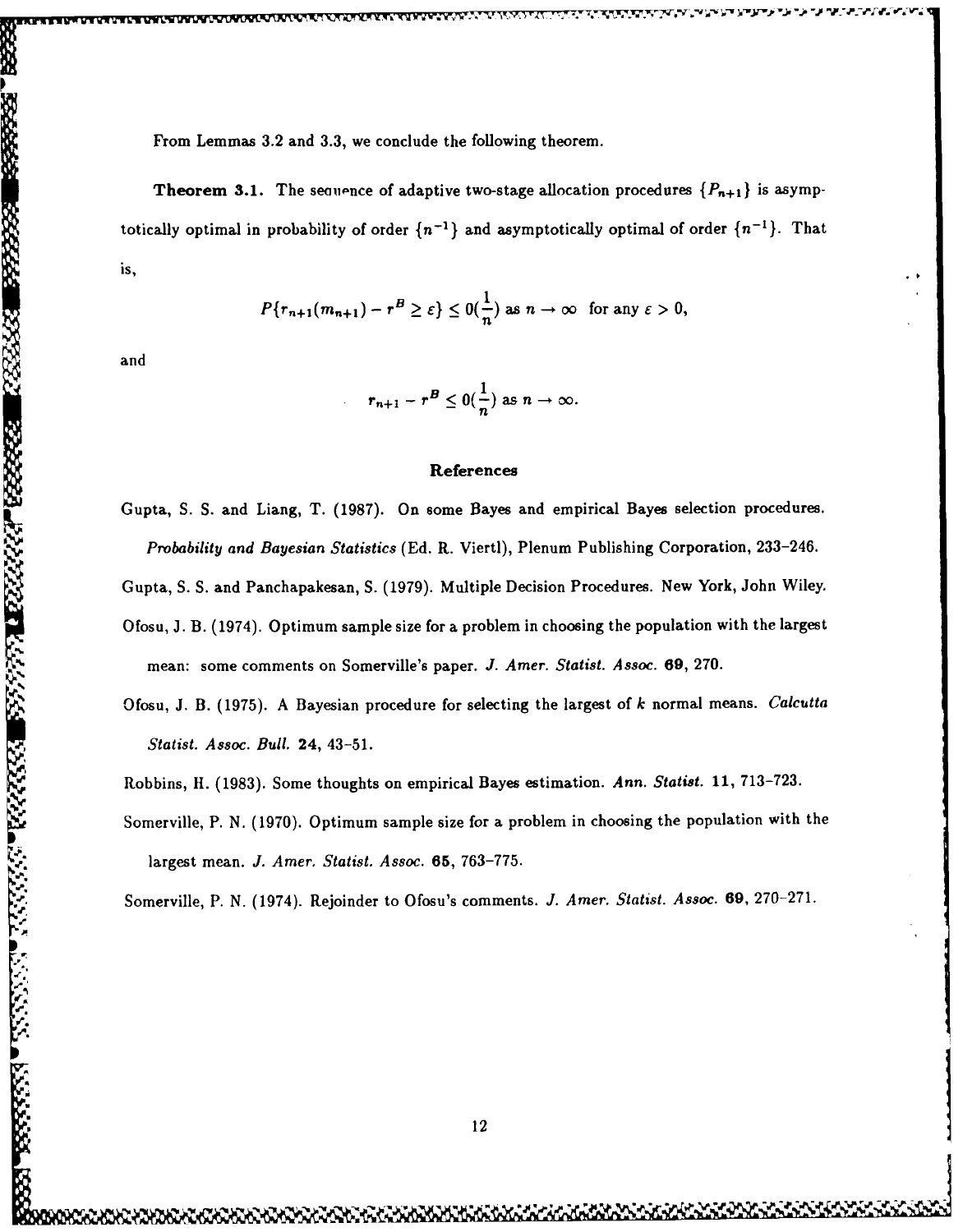From Lemmas **3.2** and 3.3, we conclude the following theorem.

**Theorem 3.1.** The sequence of adaptive two-stage allocation procedures  $\{P_{n+1}\}\$ is asymptotically optimal in probability of order  $\{n^{-1}\}\$  and asymptotically optimal of order  $\{n^{-1}\}\$ . That is,

$$
P\{r_{n+1}(m_{n+1})-r^B\geq \varepsilon\}\leq 0(\frac{1}{n})\text{ as }n\to\infty\text{ for any }\varepsilon>0,
$$

and

●大大大大大大大大小"收入大大大大大大大大大大人", 1992年12月14日, 1992年12月14日, 1993年12月15日, 1993年12月15日, 1993年12月15日, 1993年12月

888888

$$
r_{n+1}-r^B\leq 0(\frac{1}{n})\text{ as }n\to\infty.
$$

#### References

Gupta, **S. S.** and Liang, T. **(1987).** On some Bayes and empirical Bayes selection procedures. *Probability and Bayesian Statistics* (Ed. R. Viertl), Plenum Publishing Corporation, 233-246.

Gupta, **S. S.** and Panchapakesan, S. **(1979).** Multiple Decision Procedures. New York, John Wiley.

- Ofosu, **J.** B. (1974). Optimum sample size for a problem in choosing the population with the largest mean: some comments on Somerville's paper. *J. Amer. Statist. Assoc.* **69, 270.**
- Ofosu, **J.** B. **(1975). A** Bayesian procedure for selecting the largest of *k* normal means. *Calcutta Statist. Assoc. Bull.* 24, **43-51.**

Robbins, **H. (1983).** Some thoughts on empirical Bayes estimation. Ann. *Statist.* **11, 713-723.**

Somerville, P. **N. (1970).** Optimum sample size for a problem in choosing the population with the largest mean. *J. Amer. Statist. Assoc.* **65, 763-775.**

Somerville, P. **N.** (1974). Rejoinder to Ofosu's comments. *J. Amer. Statist. Assoc.* **69, 270-271.**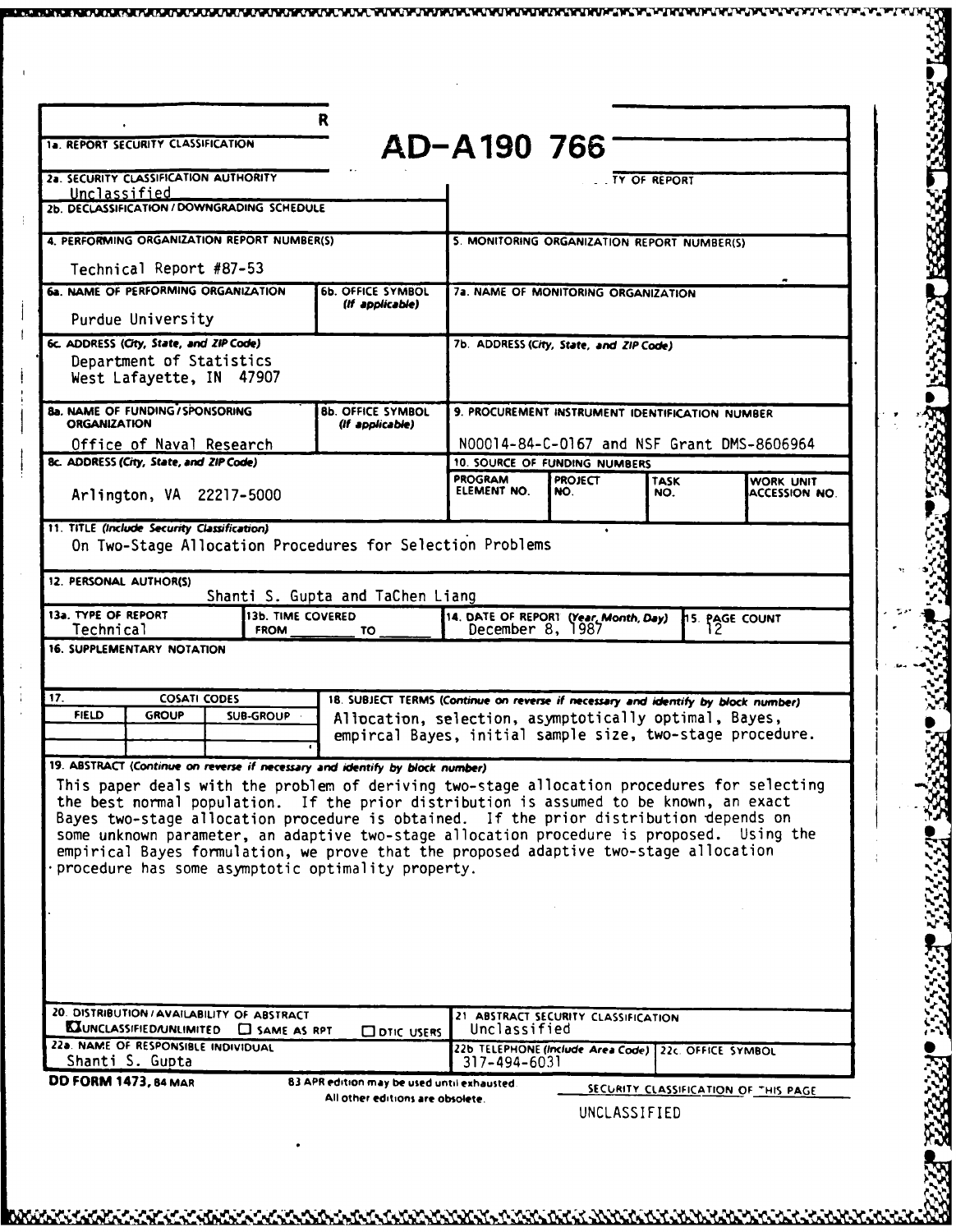|                                                                                                                                                                                                                                                                                                                                                                                                                                                                                                                                                                                                                                                                                                   | R                                                                                                                                          |                                                           |                                                      |                     |                                                           |
|---------------------------------------------------------------------------------------------------------------------------------------------------------------------------------------------------------------------------------------------------------------------------------------------------------------------------------------------------------------------------------------------------------------------------------------------------------------------------------------------------------------------------------------------------------------------------------------------------------------------------------------------------------------------------------------------------|--------------------------------------------------------------------------------------------------------------------------------------------|-----------------------------------------------------------|------------------------------------------------------|---------------------|-----------------------------------------------------------|
| <b>1a. REPORT SECURITY CLASSIFICATION</b>                                                                                                                                                                                                                                                                                                                                                                                                                                                                                                                                                                                                                                                         |                                                                                                                                            | AD-A190 766                                               |                                                      |                     |                                                           |
| 2a. SECURITY CLASSIFICATION AUTHORITY                                                                                                                                                                                                                                                                                                                                                                                                                                                                                                                                                                                                                                                             |                                                                                                                                            |                                                           |                                                      | <b>TY OF REPORT</b> |                                                           |
| Unclassified<br>2b. DECLASSIFICATION / DOWNGRADING SCHEDULE                                                                                                                                                                                                                                                                                                                                                                                                                                                                                                                                                                                                                                       |                                                                                                                                            |                                                           |                                                      |                     |                                                           |
|                                                                                                                                                                                                                                                                                                                                                                                                                                                                                                                                                                                                                                                                                                   |                                                                                                                                            |                                                           |                                                      |                     |                                                           |
| 4. PERFORMING ORGANIZATION REPORT NUMBER(S)                                                                                                                                                                                                                                                                                                                                                                                                                                                                                                                                                                                                                                                       |                                                                                                                                            | 5. MONITORING ORGANIZATION REPORT NUMBER(S)               |                                                      |                     |                                                           |
| Technical Report #87-53                                                                                                                                                                                                                                                                                                                                                                                                                                                                                                                                                                                                                                                                           |                                                                                                                                            |                                                           |                                                      |                     |                                                           |
| 6a. NAME OF PERFORMING ORGANIZATION<br>Purdue University                                                                                                                                                                                                                                                                                                                                                                                                                                                                                                                                                                                                                                          | <b>6b. OFFICE SYMBOL</b><br>(If applicable)                                                                                                |                                                           | 7a. NAME OF MONITORING ORGANIZATION                  |                     |                                                           |
| 6c. ADDRESS (City, State, and ZIP Code)                                                                                                                                                                                                                                                                                                                                                                                                                                                                                                                                                                                                                                                           |                                                                                                                                            |                                                           | 7b. ADDRESS (City, State, and ZIP Code)              |                     |                                                           |
| Department of Statistics<br>West Lafayette, IN 47907                                                                                                                                                                                                                                                                                                                                                                                                                                                                                                                                                                                                                                              |                                                                                                                                            |                                                           |                                                      |                     |                                                           |
| <b>8a. NAME OF FUNDING / SPONSORING</b>                                                                                                                                                                                                                                                                                                                                                                                                                                                                                                                                                                                                                                                           | <b>8b. OFFICE SYMBOL</b>                                                                                                                   |                                                           | 9. PROCUREMENT INSTRUMENT IDENTIFICATION NUMBER      |                     |                                                           |
| <b>ORGANIZATION</b><br>Office of Naval Research                                                                                                                                                                                                                                                                                                                                                                                                                                                                                                                                                                                                                                                   | (if applicable)                                                                                                                            |                                                           |                                                      |                     | N00014-84-C-0167 and NSF Grant DMS-8606964                |
| 8c. ADDRESS (City, State, and ZIP Code)                                                                                                                                                                                                                                                                                                                                                                                                                                                                                                                                                                                                                                                           |                                                                                                                                            |                                                           | 10. SOURCE OF FUNDING NUMBERS                        |                     |                                                           |
|                                                                                                                                                                                                                                                                                                                                                                                                                                                                                                                                                                                                                                                                                                   |                                                                                                                                            | <b>PROGRAM</b><br>ELEMENT NO.                             | <b>PROJECT</b><br>NO.                                | <b>TASK</b><br>NO.  | WORK UNIT<br><b>ACCESSION NO.</b>                         |
| Arlington, VA 22217-5000                                                                                                                                                                                                                                                                                                                                                                                                                                                                                                                                                                                                                                                                          |                                                                                                                                            |                                                           |                                                      |                     |                                                           |
|                                                                                                                                                                                                                                                                                                                                                                                                                                                                                                                                                                                                                                                                                                   |                                                                                                                                            |                                                           |                                                      |                     |                                                           |
| Technical<br><b>FROM</b>                                                                                                                                                                                                                                                                                                                                                                                                                                                                                                                                                                                                                                                                          | Shanti S. Gupta and TaChen Liang<br>13b. TIME COVERED<br>TO                                                                                | 14. DATE OF REPORT (Year, Month, Day)<br>December 8, 1987 |                                                      |                     | <b>hs.</b> PAGE COUNT                                     |
| <b>COSATI CODES</b><br><b>FIELD</b><br><b>GROUP</b><br>SUB-GROUP                                                                                                                                                                                                                                                                                                                                                                                                                                                                                                                                                                                                                                  | 18. SUBJECT TERMS (Continue on reverse if necessary and identify by block number)<br>Allocation, selection, asymptotically optimal, Bayes, |                                                           |                                                      |                     | empircal Bayes, initial sample size, two-stage procedure. |
| 12. PERSONAL AUTHOR(S)<br>13a. TYPE OF REPORT<br>16. SUPPLEMENTARY NOTATION<br>17.<br>19. ABSTRACT (Continue on reverse if necessary and identify by block number)<br>This paper deals with the problem of deriving two-stage allocation procedures for selecting<br>the best normal population. If the prior distribution is assumed to be known, an exact<br>Bayes two-stage allocation procedure is obtained. If the prior distribution depends on<br>some unknown parameter, an adaptive two-stage allocation procedure is proposed. Using the<br>empirical Bayes formulation, we prove that the proposed adaptive two-stage allocation<br>procedure has some asymptotic optimality property. |                                                                                                                                            |                                                           |                                                      |                     |                                                           |
|                                                                                                                                                                                                                                                                                                                                                                                                                                                                                                                                                                                                                                                                                                   |                                                                                                                                            |                                                           | 21 ABSTRACT SECURITY CLASSIFICATION                  |                     |                                                           |
| 20. DISTRIBUTION / AVAILABILITY OF ABSTRACT<br><b>KIUNCLASSIFIED/UNLIMITED C</b> SAME AS RPT<br>22a. NAME OF RESPONSIBLE INDIVIDUAL                                                                                                                                                                                                                                                                                                                                                                                                                                                                                                                                                               | <b>COTIC USERS</b>                                                                                                                         | Unclassified                                              | 22b TELEPHONE (Include Area Code) 22c. OFFICE SYMBOL |                     |                                                           |
| Shanti S. Gupta<br><b>DD FORM 1473, 84 MAR</b>                                                                                                                                                                                                                                                                                                                                                                                                                                                                                                                                                                                                                                                    | 83 APR edition may be used until exhausted.                                                                                                | $317 - 494 - 6031$                                        |                                                      |                     |                                                           |

ANG PAGALANG PAGPANG PAGPANG PAGPANG ANG PAGPANG PAGPANG PAGPANG

1333

Taleras

大家家

1232232

*vi~~e*

 $\overline{1}$ 

Ĵ

**AM**